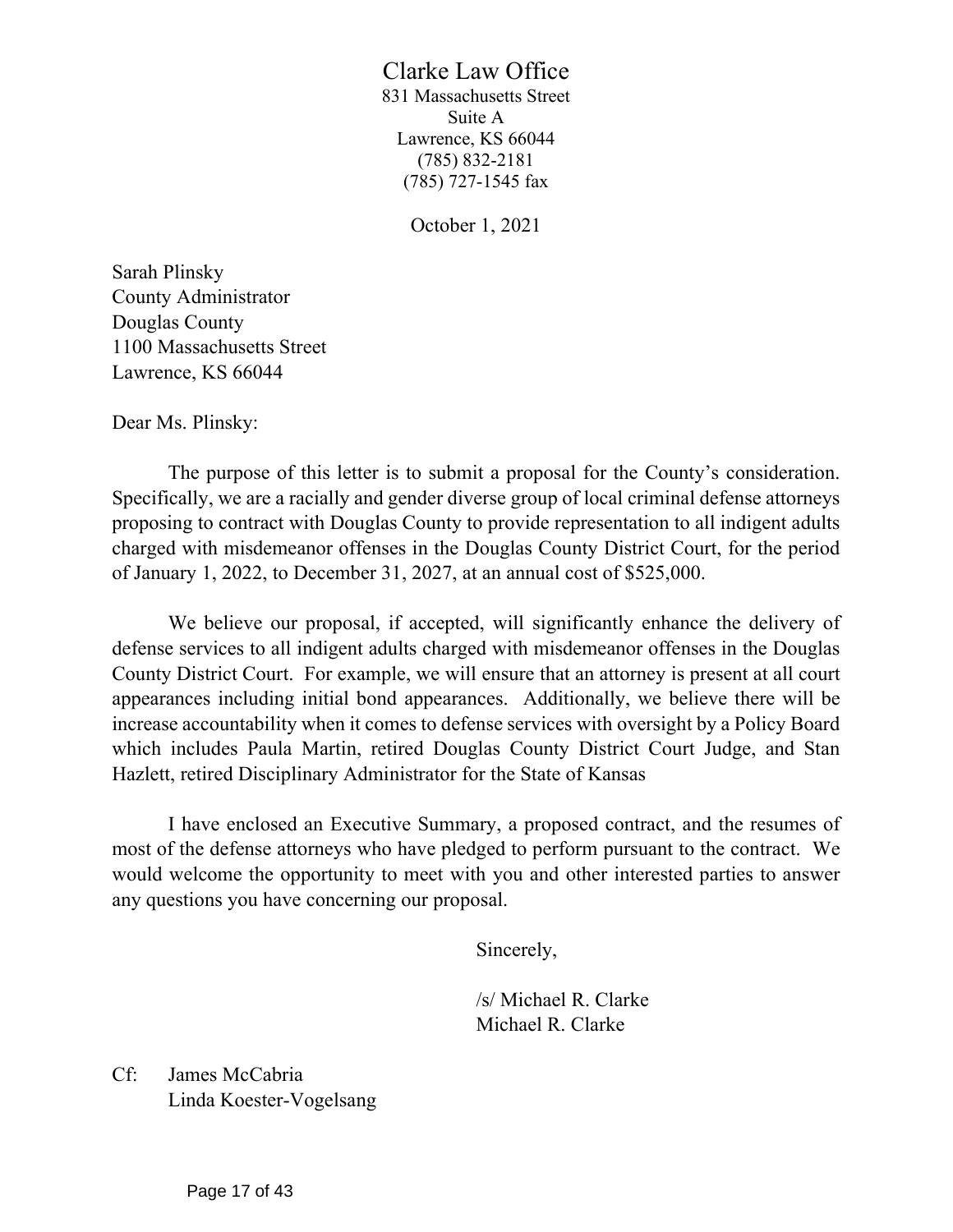# Clarke Law Office

831 Massachusetts Street Suite A Lawrence, KS 66044 (785) 832-2181 (785) 727-1545 fax

October 1, 2021

Sarah Plinsky County Administrator Douglas County 1100 Massachusetts Street Lawrence, KS 66044

Dear Ms. Plinsky:

The purpose of this letter is to submit a proposal for the County's consideration. Specifically, we are a racially and gender diverse group of local criminal defense attorneys proposing to contract with Douglas County to provide representation to all indigent adults charged with misdemeanor offenses in the Douglas County District Court, for the period of January 1, 2022, to December 31, 2027, at an annual cost of \$525,000.

We believe our proposal, if accepted, will significantly enhance the delivery of defense services to all indigent adults charged with misdemeanor offenses in the Douglas County District Court. For example, we will ensure that an attorney is present at all court appearances including initial bond appearances. Additionally, we believe there will be increase accountability when it comes to defense services with oversight by a Policy Board which includes Paula Martin, retired Douglas County District Court Judge, and Stan Hazlett, retired Disciplinary Administrator for the State of Kansas

I have enclosed an Executive Summary, a proposed contract, and the resumes of most of the defense attorneys who have pledged to perform pursuant to the contract. We would welcome the opportunity to meet with you and other interested parties to answer any questions you have concerning our proposal.

Sincerely,

/s/ Michael R. Clarke Michael R. Clarke

Cf: James McCabria Linda Koester-Vogelsang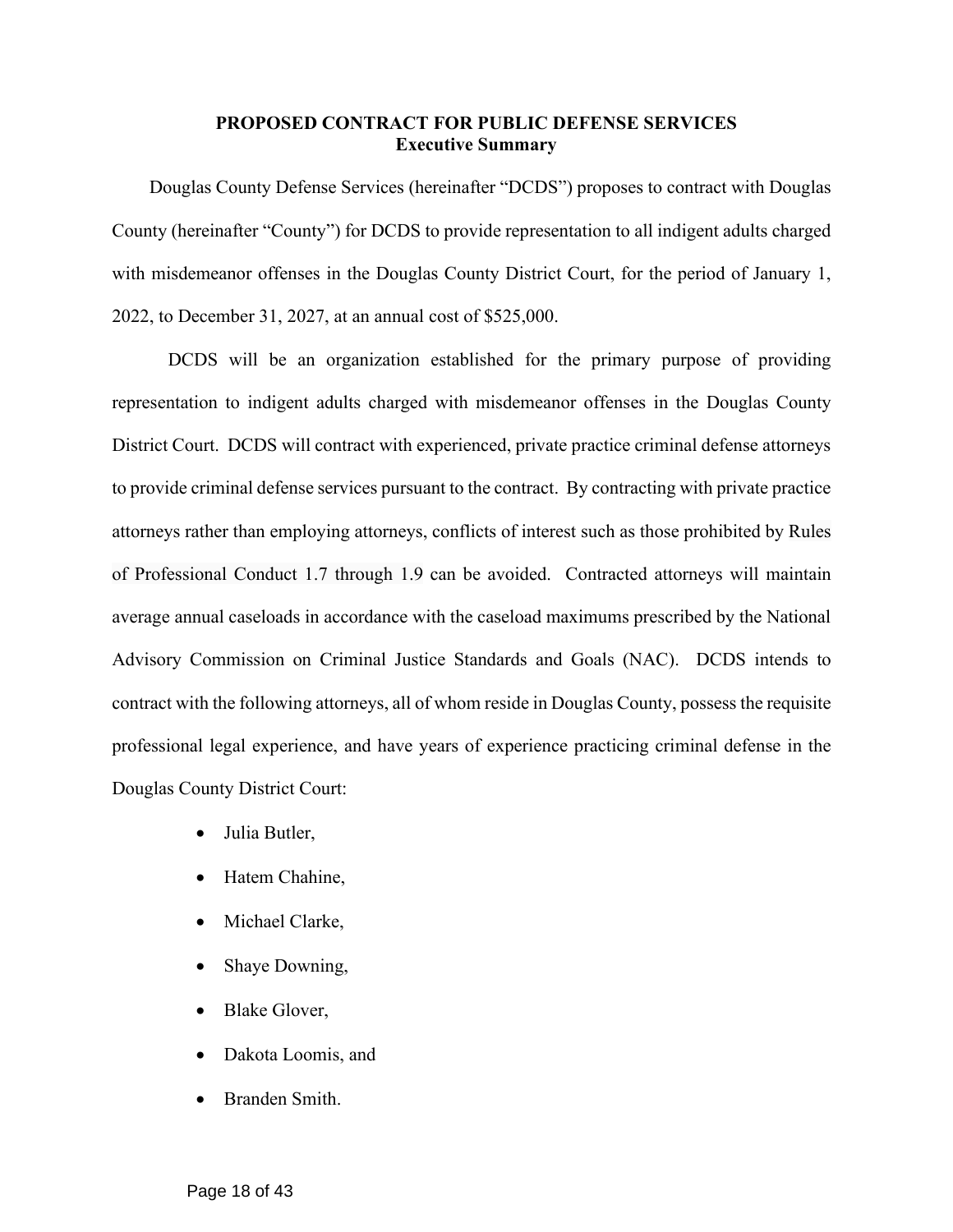## **PROPOSED CONTRACT FOR PUBLIC DEFENSE SERVICES Executive Summary**

Douglas County Defense Services (hereinafter "DCDS") proposes to contract with Douglas County (hereinafter "County") for DCDS to provide representation to all indigent adults charged with misdemeanor offenses in the Douglas County District Court, for the period of January 1, 2022, to December 31, 2027, at an annual cost of \$525,000.

DCDS will be an organization established for the primary purpose of providing representation to indigent adults charged with misdemeanor offenses in the Douglas County District Court. DCDS will contract with experienced, private practice criminal defense attorneys to provide criminal defense services pursuant to the contract. By contracting with private practice attorneys rather than employing attorneys, conflicts of interest such as those prohibited by Rules of Professional Conduct 1.7 through 1.9 can be avoided. Contracted attorneys will maintain average annual caseloads in accordance with the caseload maximums prescribed by the National Advisory Commission on Criminal Justice Standards and Goals (NAC). DCDS intends to contract with the following attorneys, all of whom reside in Douglas County, possess the requisite professional legal experience, and have years of experience practicing criminal defense in the Douglas County District Court:

- Julia Butler,
- Hatem Chahine,
- Michael Clarke,
- Shaye Downing,
- Blake Glover,
- Dakota Loomis, and
- Branden Smith.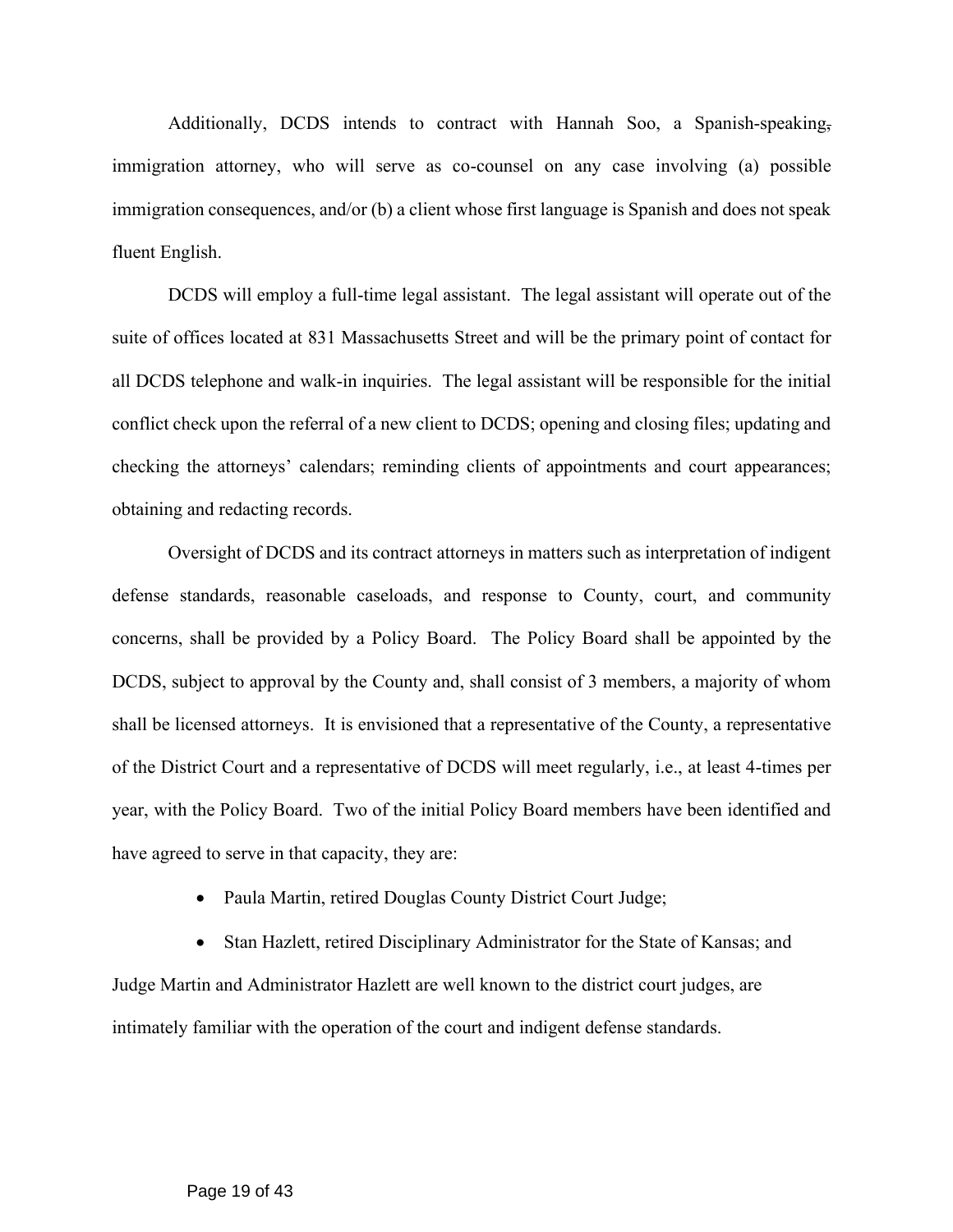Additionally, DCDS intends to contract with Hannah Soo, a Spanish-speaking, immigration attorney, who will serve as co-counsel on any case involving (a) possible immigration consequences, and/or (b) a client whose first language is Spanish and does not speak fluent English.

DCDS will employ a full-time legal assistant. The legal assistant will operate out of the suite of offices located at 831 Massachusetts Street and will be the primary point of contact for all DCDS telephone and walk-in inquiries. The legal assistant will be responsible for the initial conflict check upon the referral of a new client to DCDS; opening and closing files; updating and checking the attorneys' calendars; reminding clients of appointments and court appearances; obtaining and redacting records.

Oversight of DCDS and its contract attorneys in matters such as interpretation of indigent defense standards, reasonable caseloads, and response to County, court, and community concerns, shall be provided by a Policy Board. The Policy Board shall be appointed by the DCDS, subject to approval by the County and, shall consist of 3 members, a majority of whom shall be licensed attorneys. It is envisioned that a representative of the County, a representative of the District Court and a representative of DCDS will meet regularly, i.e., at least 4-times per year, with the Policy Board. Two of the initial Policy Board members have been identified and have agreed to serve in that capacity, they are:

• Paula Martin, retired Douglas County District Court Judge;

• Stan Hazlett, retired Disciplinary Administrator for the State of Kansas; and Judge Martin and Administrator Hazlett are well known to the district court judges, are intimately familiar with the operation of the court and indigent defense standards.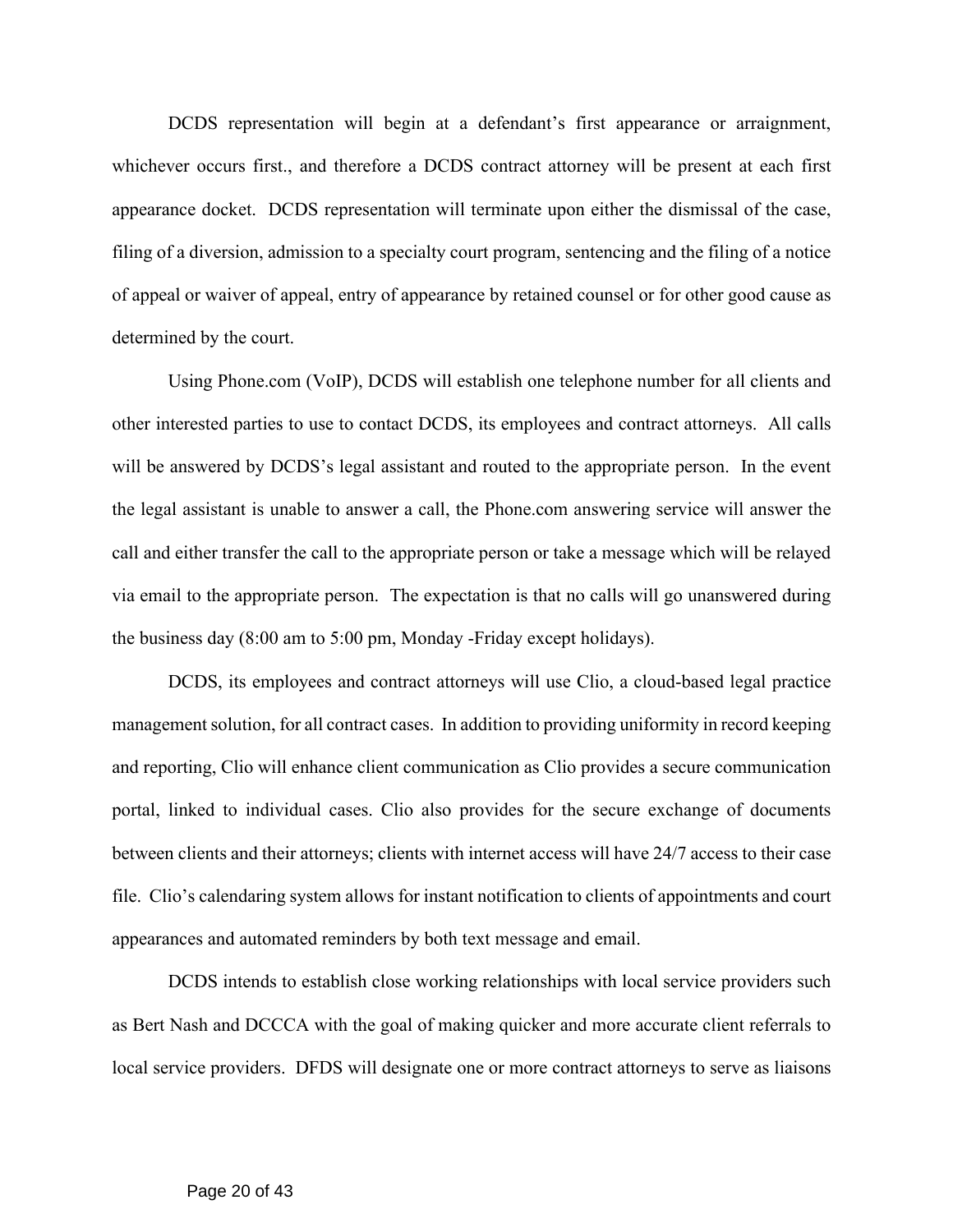DCDS representation will begin at a defendant's first appearance or arraignment, whichever occurs first., and therefore a DCDS contract attorney will be present at each first appearance docket. DCDS representation will terminate upon either the dismissal of the case, filing of a diversion, admission to a specialty court program, sentencing and the filing of a notice of appeal or waiver of appeal, entry of appearance by retained counsel or for other good cause as determined by the court.

Using Phone.com (VoIP), DCDS will establish one telephone number for all clients and other interested parties to use to contact DCDS, its employees and contract attorneys. All calls will be answered by DCDS's legal assistant and routed to the appropriate person. In the event the legal assistant is unable to answer a call, the Phone.com answering service will answer the call and either transfer the call to the appropriate person or take a message which will be relayed via email to the appropriate person. The expectation is that no calls will go unanswered during the business day (8:00 am to 5:00 pm, Monday -Friday except holidays).

DCDS, its employees and contract attorneys will use Clio, a cloud-based legal practice management solution, for all contract cases. In addition to providing uniformity in record keeping and reporting, Clio will enhance client communication as Clio provides a secure communication portal, linked to individual cases. Clio also provides for the secure exchange of documents between clients and their attorneys; clients with internet access will have 24/7 access to their case file. Clio's calendaring system allows for instant notification to clients of appointments and court appearances and automated reminders by both text message and email.

DCDS intends to establish close working relationships with local service providers such as Bert Nash and DCCCA with the goal of making quicker and more accurate client referrals to local service providers. DFDS will designate one or more contract attorneys to serve as liaisons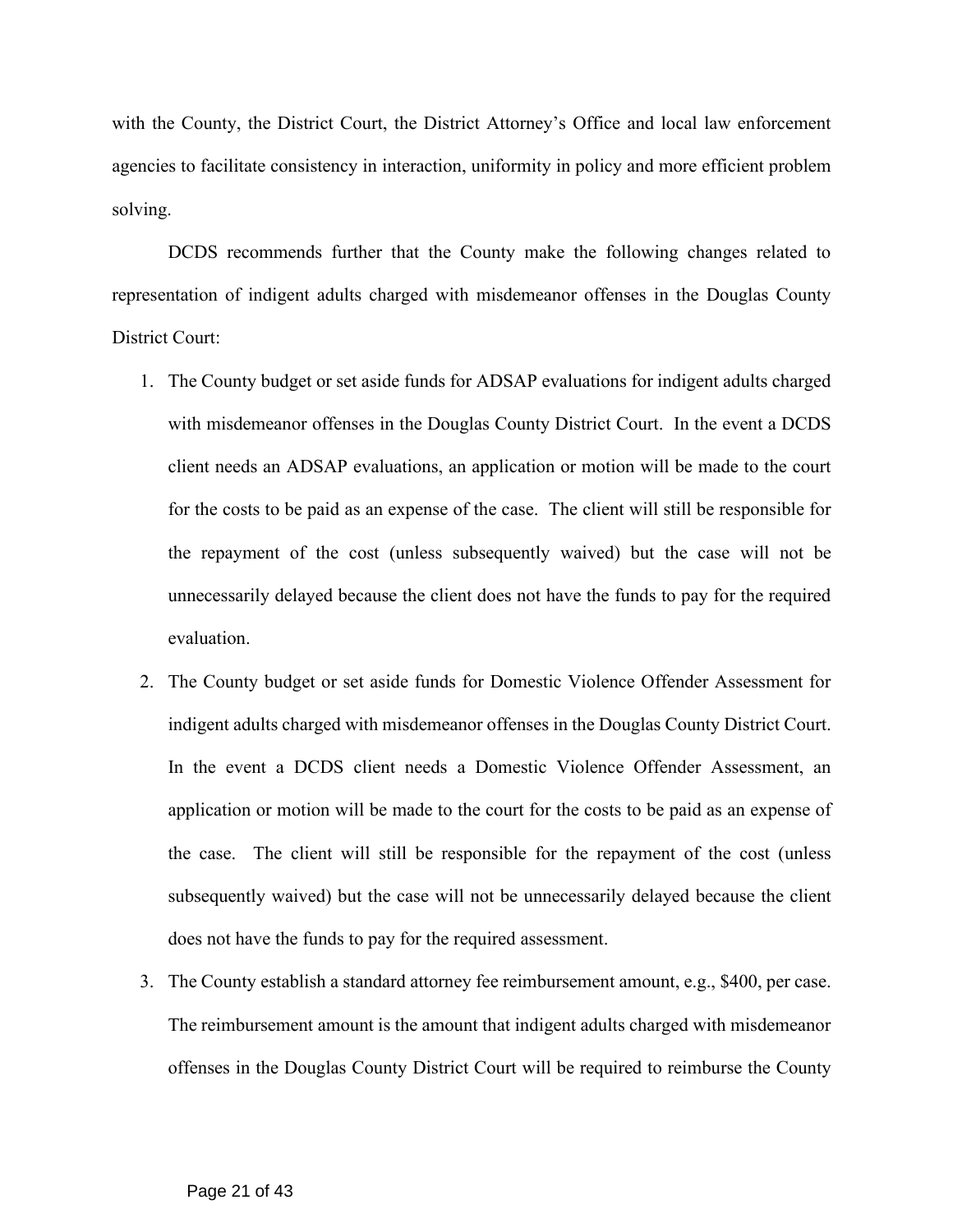with the County, the District Court, the District Attorney's Office and local law enforcement agencies to facilitate consistency in interaction, uniformity in policy and more efficient problem solving.

DCDS recommends further that the County make the following changes related to representation of indigent adults charged with misdemeanor offenses in the Douglas County District Court:

- 1. The County budget or set aside funds for ADSAP evaluations for indigent adults charged with misdemeanor offenses in the Douglas County District Court. In the event a DCDS client needs an ADSAP evaluations, an application or motion will be made to the court for the costs to be paid as an expense of the case. The client will still be responsible for the repayment of the cost (unless subsequently waived) but the case will not be unnecessarily delayed because the client does not have the funds to pay for the required evaluation.
- 2. The County budget or set aside funds for Domestic Violence Offender Assessment for indigent adults charged with misdemeanor offenses in the Douglas County District Court. In the event a DCDS client needs a Domestic Violence Offender Assessment, an application or motion will be made to the court for the costs to be paid as an expense of the case. The client will still be responsible for the repayment of the cost (unless subsequently waived) but the case will not be unnecessarily delayed because the client does not have the funds to pay for the required assessment.
- 3. The County establish a standard attorney fee reimbursement amount, e.g., \$400, per case. The reimbursement amount is the amount that indigent adults charged with misdemeanor offenses in the Douglas County District Court will be required to reimburse the County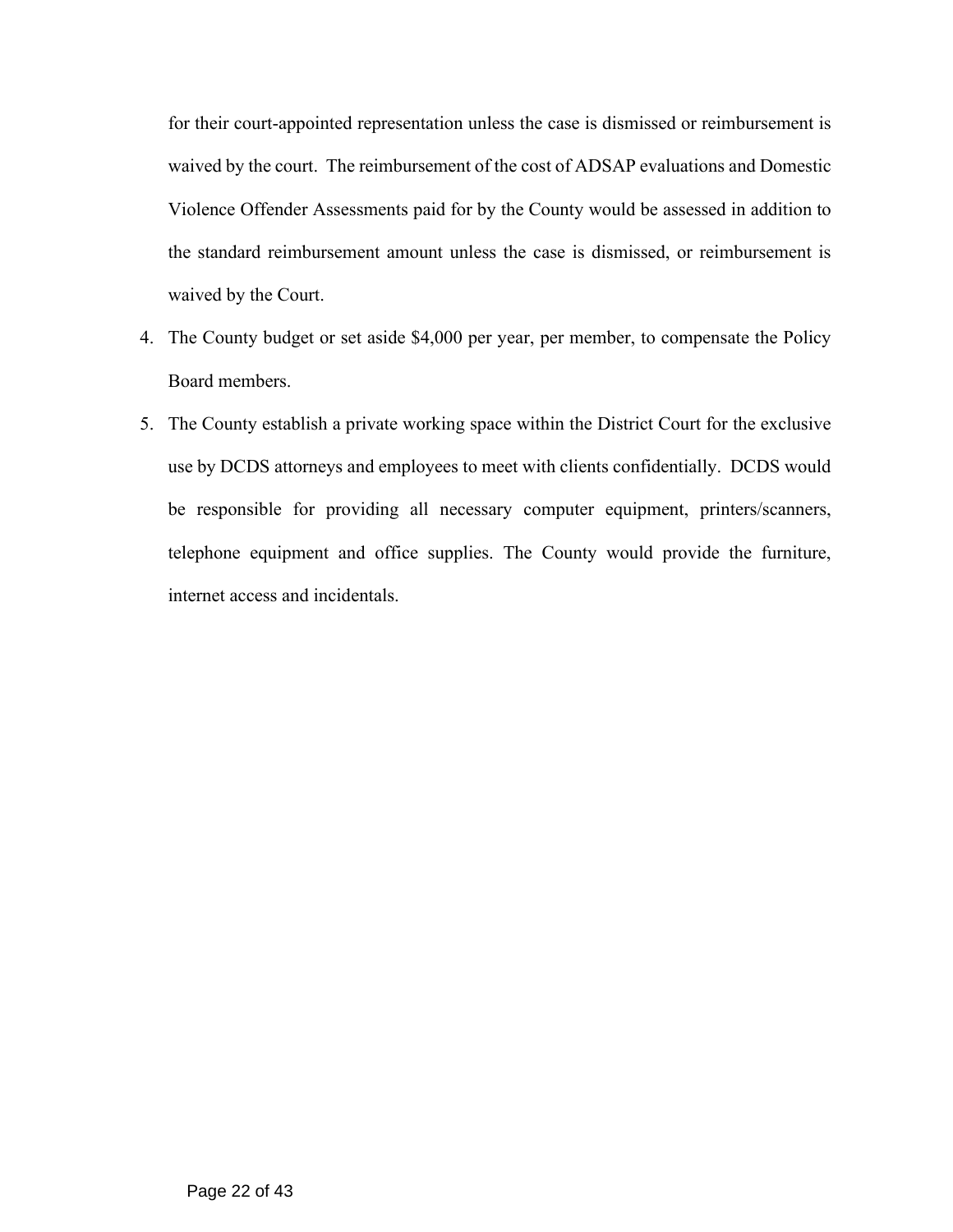for their court-appointed representation unless the case is dismissed or reimbursement is waived by the court. The reimbursement of the cost of ADSAP evaluations and Domestic Violence Offender Assessments paid for by the County would be assessed in addition to the standard reimbursement amount unless the case is dismissed, or reimbursement is waived by the Court.

- 4. The County budget or set aside \$4,000 per year, per member, to compensate the Policy Board members.
- 5. The County establish a private working space within the District Court for the exclusive use by DCDS attorneys and employees to meet with clients confidentially. DCDS would be responsible for providing all necessary computer equipment, printers/scanners, telephone equipment and office supplies. The County would provide the furniture, internet access and incidentals.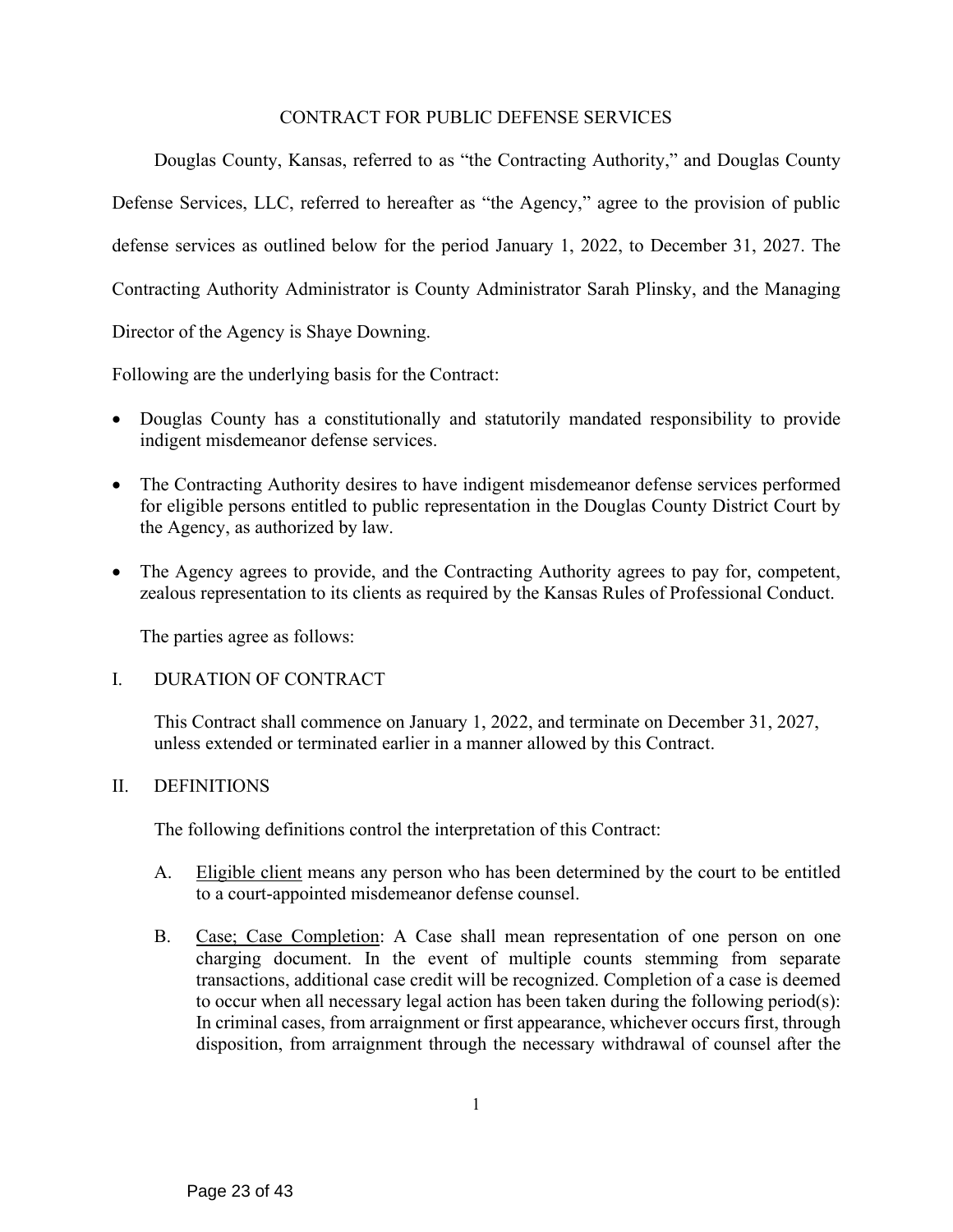# CONTRACT FOR PUBLIC DEFENSE SERVICES

Douglas County, Kansas, referred to as "the Contracting Authority," and Douglas County Defense Services, LLC, referred to hereafter as "the Agency," agree to the provision of public defense services as outlined below for the period January 1, 2022, to December 31, 2027. The Contracting Authority Administrator is County Administrator Sarah Plinsky, and the Managing Director of the Agency is Shaye Downing.

Following are the underlying basis for the Contract:

- Douglas County has a constitutionally and statutorily mandated responsibility to provide indigent misdemeanor defense services.
- The Contracting Authority desires to have indigent misdemeanor defense services performed for eligible persons entitled to public representation in the Douglas County District Court by the Agency, as authorized by law.
- The Agency agrees to provide, and the Contracting Authority agrees to pay for, competent, zealous representation to its clients as required by the Kansas Rules of Professional Conduct.

The parties agree as follows:

#### I. DURATION OF CONTRACT

This Contract shall commence on January 1, 2022, and terminate on December 31, 2027, unless extended or terminated earlier in a manner allowed by this Contract.

#### II. DEFINITIONS

The following definitions control the interpretation of this Contract:

- A. Eligible client means any person who has been determined by the court to be entitled to a court-appointed misdemeanor defense counsel.
- B. Case; Case Completion: A Case shall mean representation of one person on one charging document. In the event of multiple counts stemming from separate transactions, additional case credit will be recognized. Completion of a case is deemed to occur when all necessary legal action has been taken during the following period(s): In criminal cases, from arraignment or first appearance, whichever occurs first, through disposition, from arraignment through the necessary withdrawal of counsel after the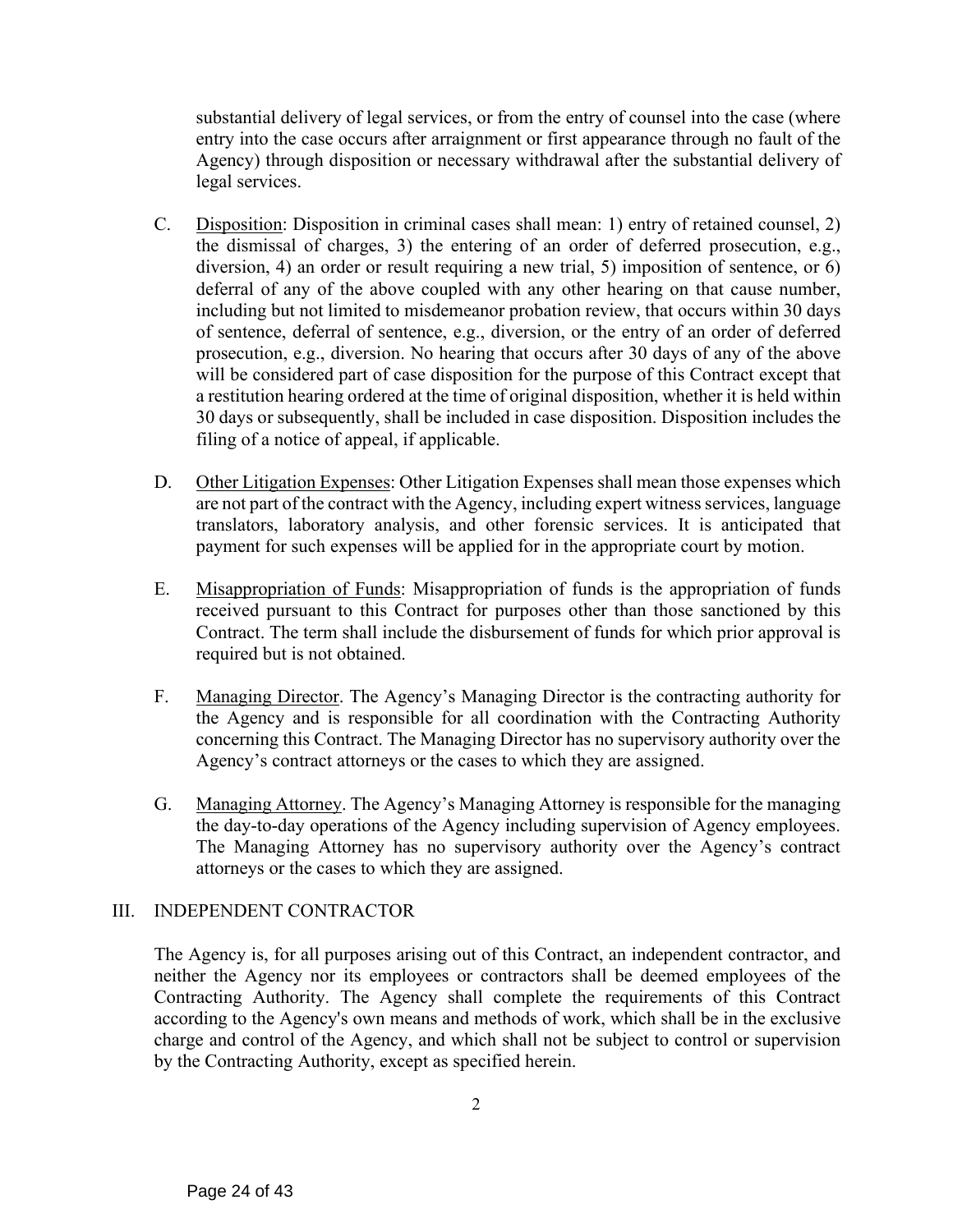substantial delivery of legal services, or from the entry of counsel into the case (where entry into the case occurs after arraignment or first appearance through no fault of the Agency) through disposition or necessary withdrawal after the substantial delivery of legal services.

- C. Disposition: Disposition in criminal cases shall mean: 1) entry of retained counsel, 2) the dismissal of charges, 3) the entering of an order of deferred prosecution, e.g., diversion, 4) an order or result requiring a new trial, 5) imposition of sentence, or 6) deferral of any of the above coupled with any other hearing on that cause number, including but not limited to misdemeanor probation review, that occurs within 30 days of sentence, deferral of sentence, e.g., diversion, or the entry of an order of deferred prosecution, e.g., diversion. No hearing that occurs after 30 days of any of the above will be considered part of case disposition for the purpose of this Contract except that a restitution hearing ordered at the time of original disposition, whether it is held within 30 days or subsequently, shall be included in case disposition. Disposition includes the filing of a notice of appeal, if applicable.
- D. Other Litigation Expenses: Other Litigation Expenses shall mean those expenses which are not part of the contract with the Agency, including expert witness services, language translators, laboratory analysis, and other forensic services. It is anticipated that payment for such expenses will be applied for in the appropriate court by motion.
- E. Misappropriation of Funds: Misappropriation of funds is the appropriation of funds received pursuant to this Contract for purposes other than those sanctioned by this Contract. The term shall include the disbursement of funds for which prior approval is required but is not obtained.
- F. Managing Director. The Agency's Managing Director is the contracting authority for the Agency and is responsible for all coordination with the Contracting Authority concerning this Contract. The Managing Director has no supervisory authority over the Agency's contract attorneys or the cases to which they are assigned.
- G. Managing Attorney. The Agency's Managing Attorney is responsible for the managing the day-to-day operations of the Agency including supervision of Agency employees. The Managing Attorney has no supervisory authority over the Agency's contract attorneys or the cases to which they are assigned.

# III. INDEPENDENT CONTRACTOR

The Agency is, for all purposes arising out of this Contract, an independent contractor, and neither the Agency nor its employees or contractors shall be deemed employees of the Contracting Authority. The Agency shall complete the requirements of this Contract according to the Agency's own means and methods of work, which shall be in the exclusive charge and control of the Agency, and which shall not be subject to control or supervision by the Contracting Authority, except as specified herein.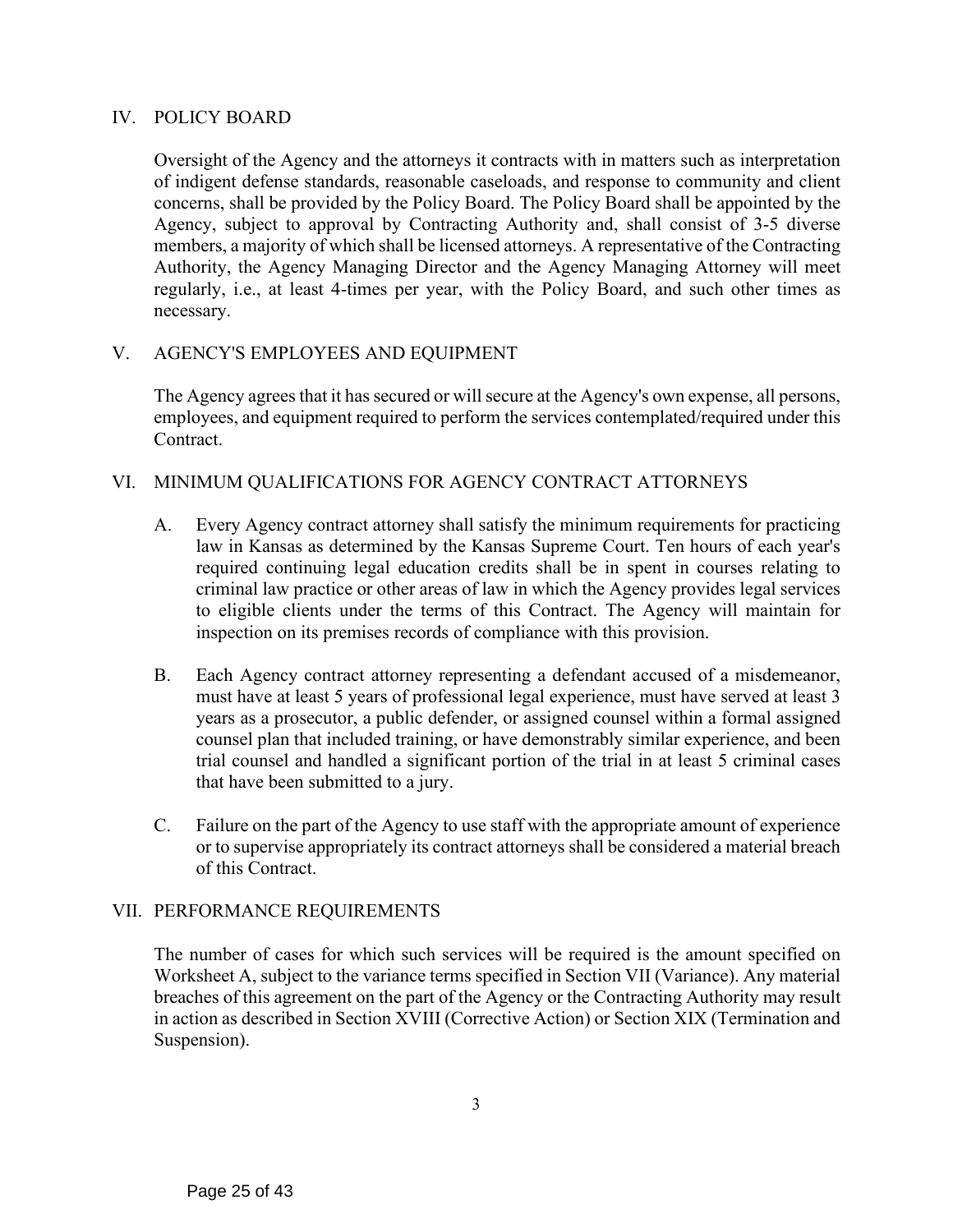# IV. POLICY BOARD

Oversight of the Agency and the attorneys it contracts with in matters such as interpretation of indigent defense standards, reasonable caseloads, and response to community and client concerns, shall be provided by the Policy Board. The Policy Board shall be appointed by the Agency, subject to approval by Contracting Authority and, shall consist of 3-5 diverse members, a majority of which shall be licensed attorneys. A representative of the Contracting Authority, the Agency Managing Director and the Agency Managing Attorney will meet regularly, i.e., at least 4-times per year, with the Policy Board, and such other times as necessary.

# V. AGENCY'S EMPLOYEES AND EQUIPMENT

The Agency agrees that it has secured or will secure at the Agency's own expense, all persons, employees, and equipment required to perform the services contemplated/required under this Contract.

# VI. MINIMUM QUALIFICATIONS FOR AGENCY CONTRACT ATTORNEYS

- A. Every Agency contract attorney shall satisfy the minimum requirements for practicing law in Kansas as determined by the Kansas Supreme Court. Ten hours of each year's required continuing legal education credits shall be in spent in courses relating to criminal law practice or other areas of law in which the Agency provides legal services to eligible clients under the terms of this Contract. The Agency will maintain for inspection on its premises records of compliance with this provision.
- B. Each Agency contract attorney representing a defendant accused of a misdemeanor, must have at least 5 years of professional legal experience, must have served at least 3 years as a prosecutor, a public defender, or assigned counsel within a formal assigned counsel plan that included training, or have demonstrably similar experience, and been trial counsel and handled a significant portion of the trial in at least 5 criminal cases that have been submitted to a jury.
- C. Failure on the part of the Agency to use staff with the appropriate amount of experience or to supervise appropriately its contract attorneys shall be considered a material breach of this Contract.

# VII. PERFORMANCE REQUIREMENTS

The number of cases for which such services will be required is the amount specified on Worksheet A, subject to the variance terms specified in Section VII (Variance). Any material breaches of this agreement on the part of the Agency or the Contracting Authority may result in action as described in Section XVIII (Corrective Action) or Section XIX (Termination and Suspension).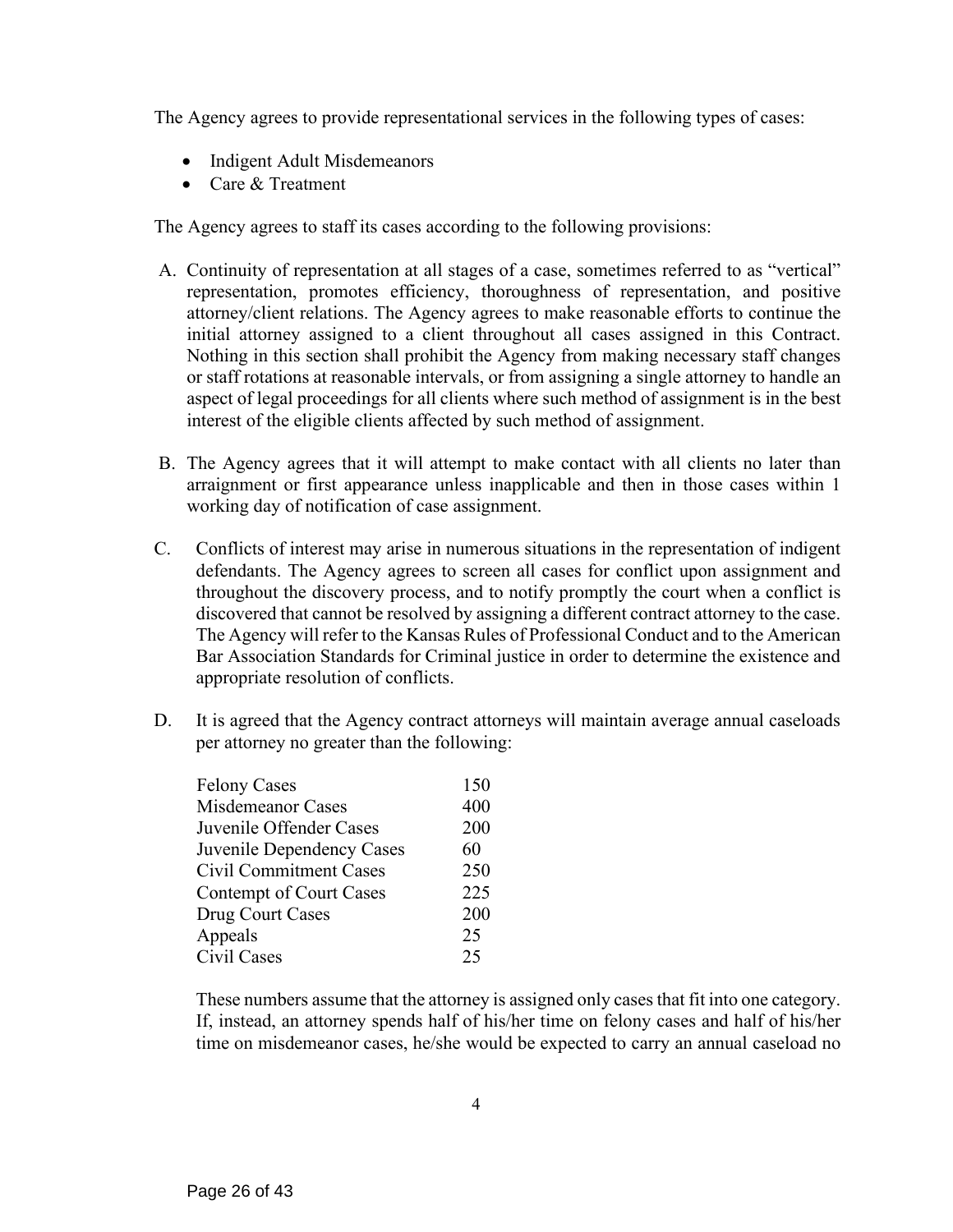The Agency agrees to provide representational services in the following types of cases:

- Indigent Adult Misdemeanors
- Care & Treatment

The Agency agrees to staff its cases according to the following provisions:

- A. Continuity of representation at all stages of a case, sometimes referred to as "vertical" representation, promotes efficiency, thoroughness of representation, and positive attorney/client relations. The Agency agrees to make reasonable efforts to continue the initial attorney assigned to a client throughout all cases assigned in this Contract. Nothing in this section shall prohibit the Agency from making necessary staff changes or staff rotations at reasonable intervals, or from assigning a single attorney to handle an aspect of legal proceedings for all clients where such method of assignment is in the best interest of the eligible clients affected by such method of assignment.
- B. The Agency agrees that it will attempt to make contact with all clients no later than arraignment or first appearance unless inapplicable and then in those cases within 1 working day of notification of case assignment.
- C. Conflicts of interest may arise in numerous situations in the representation of indigent defendants. The Agency agrees to screen all cases for conflict upon assignment and throughout the discovery process, and to notify promptly the court when a conflict is discovered that cannot be resolved by assigning a different contract attorney to the case. The Agency will refer to the Kansas Rules of Professional Conduct and to the American Bar Association Standards for Criminal justice in order to determine the existence and appropriate resolution of conflicts.
- D. It is agreed that the Agency contract attorneys will maintain average annual caseloads per attorney no greater than the following:

| 400<br>200 |
|------------|
|            |
|            |
| 60         |
| 250        |
| 225        |
| 200        |
| 25         |
| 25         |
|            |

These numbers assume that the attorney is assigned only cases that fit into one category. If, instead, an attorney spends half of his/her time on felony cases and half of his/her time on misdemeanor cases, he/she would be expected to carry an annual caseload no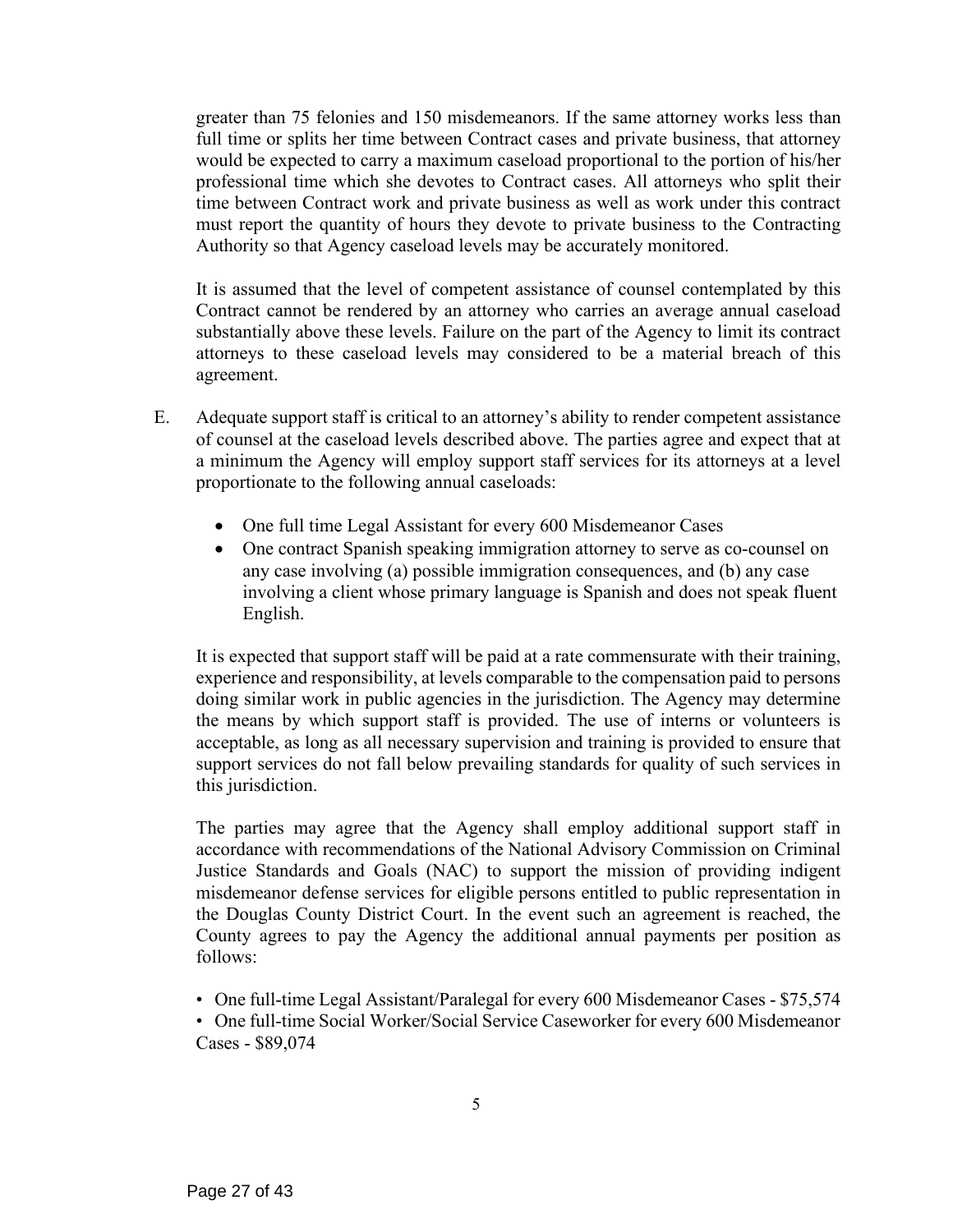greater than 75 felonies and 150 misdemeanors. If the same attorney works less than full time or splits her time between Contract cases and private business, that attorney would be expected to carry a maximum caseload proportional to the portion of his/her professional time which she devotes to Contract cases. All attorneys who split their time between Contract work and private business as well as work under this contract must report the quantity of hours they devote to private business to the Contracting Authority so that Agency caseload levels may be accurately monitored.

It is assumed that the level of competent assistance of counsel contemplated by this Contract cannot be rendered by an attorney who carries an average annual caseload substantially above these levels. Failure on the part of the Agency to limit its contract attorneys to these caseload levels may considered to be a material breach of this agreement.

- E. Adequate support staff is critical to an attorney's ability to render competent assistance of counsel at the caseload levels described above. The parties agree and expect that at a minimum the Agency will employ support staff services for its attorneys at a level proportionate to the following annual caseloads:
	- One full time Legal Assistant for every 600 Misdemeanor Cases
	- One contract Spanish speaking immigration attorney to serve as co-counsel on any case involving (a) possible immigration consequences, and (b) any case involving a client whose primary language is Spanish and does not speak fluent English.

It is expected that support staff will be paid at a rate commensurate with their training, experience and responsibility, at levels comparable to the compensation paid to persons doing similar work in public agencies in the jurisdiction. The Agency may determine the means by which support staff is provided. The use of interns or volunteers is acceptable, as long as all necessary supervision and training is provided to ensure that support services do not fall below prevailing standards for quality of such services in this jurisdiction.

The parties may agree that the Agency shall employ additional support staff in accordance with recommendations of the National Advisory Commission on Criminal Justice Standards and Goals (NAC) to support the mission of providing indigent misdemeanor defense services for eligible persons entitled to public representation in the Douglas County District Court. In the event such an agreement is reached, the County agrees to pay the Agency the additional annual payments per position as follows:

• One full-time Legal Assistant/Paralegal for every 600 Misdemeanor Cases - \$75,574

• One full-time Social Worker/Social Service Caseworker for every 600 Misdemeanor Cases - \$89,074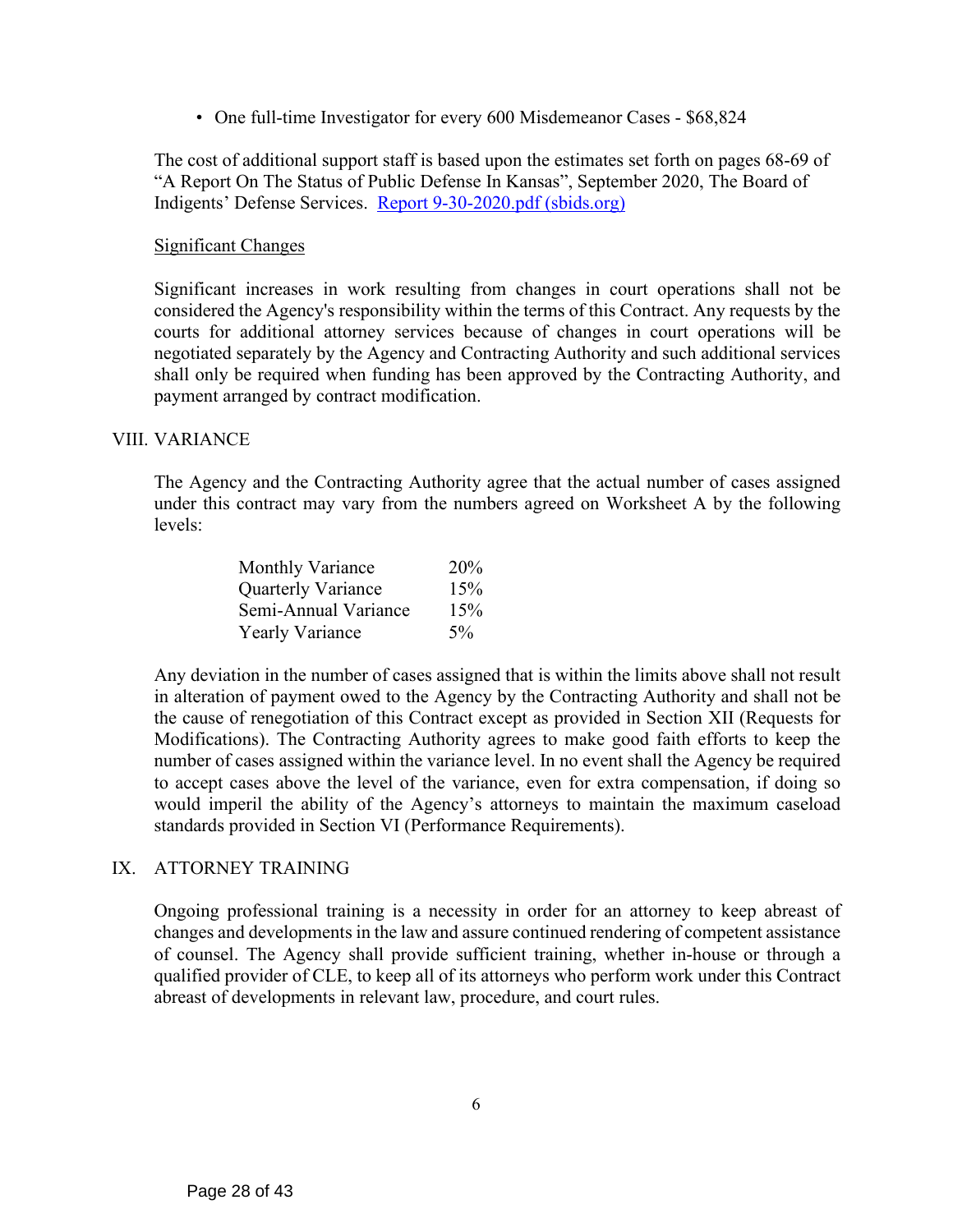• One full-time Investigator for every 600 Misdemeanor Cases - \$68,824

The cost of additional support staff is based upon the estimates set forth on pages 68-69 of "A Report On The Status of Public Defense In Kansas", September 2020, The Board of Indigents' Defense Services. [Report 9-30-2020.pdf \(sbids.org\)](http://www.sbids.org/forms/Report%209-30-2020.pdf)

#### Significant Changes

Significant increases in work resulting from changes in court operations shall not be considered the Agency's responsibility within the terms of this Contract. Any requests by the courts for additional attorney services because of changes in court operations will be negotiated separately by the Agency and Contracting Authority and such additional services shall only be required when funding has been approved by the Contracting Authority, and payment arranged by contract modification.

#### VIII. VARIANCE

The Agency and the Contracting Authority agree that the actual number of cases assigned under this contract may vary from the numbers agreed on Worksheet A by the following levels:

| <b>Monthly Variance</b> | <b>20%</b> |
|-------------------------|------------|
| Quarterly Variance      | 15%        |
| Semi-Annual Variance    | 15%        |
| <b>Yearly Variance</b>  | 5%         |

Any deviation in the number of cases assigned that is within the limits above shall not result in alteration of payment owed to the Agency by the Contracting Authority and shall not be the cause of renegotiation of this Contract except as provided in Section XII (Requests for Modifications). The Contracting Authority agrees to make good faith efforts to keep the number of cases assigned within the variance level. In no event shall the Agency be required to accept cases above the level of the variance, even for extra compensation, if doing so would imperil the ability of the Agency's attorneys to maintain the maximum caseload standards provided in Section VI (Performance Requirements).

# IX. ATTORNEY TRAINING

Ongoing professional training is a necessity in order for an attorney to keep abreast of changes and developments in the law and assure continued rendering of competent assistance of counsel. The Agency shall provide sufficient training, whether in-house or through a qualified provider of CLE, to keep all of its attorneys who perform work under this Contract abreast of developments in relevant law, procedure, and court rules.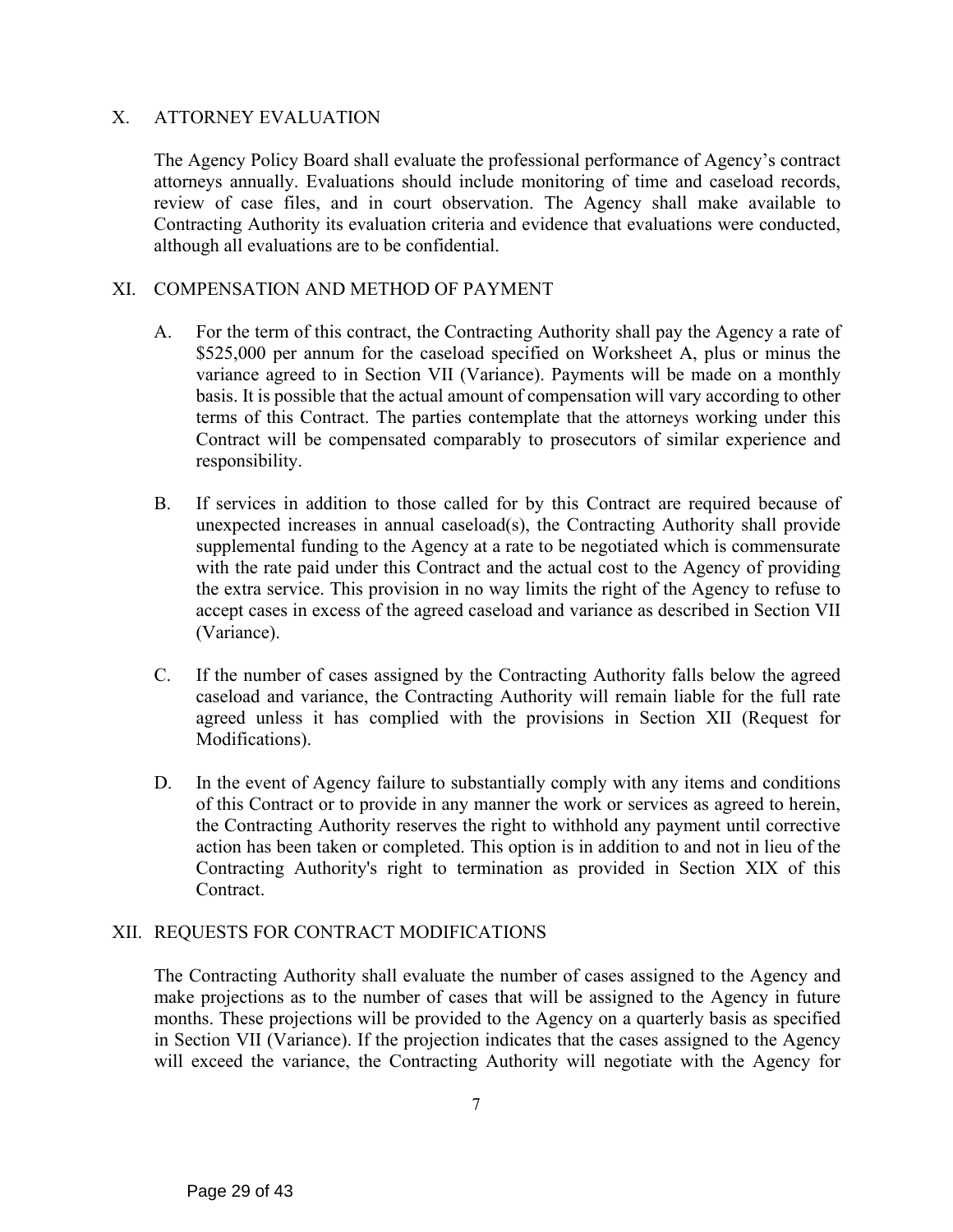# X. ATTORNEY EVALUATION

The Agency Policy Board shall evaluate the professional performance of Agency's contract attorneys annually. Evaluations should include monitoring of time and caseload records, review of case files, and in court observation. The Agency shall make available to Contracting Authority its evaluation criteria and evidence that evaluations were conducted, although all evaluations are to be confidential.

#### XI. COMPENSATION AND METHOD OF PAYMENT

- A. For the term of this contract, the Contracting Authority shall pay the Agency a rate of \$525,000 per annum for the caseload specified on Worksheet A, plus or minus the variance agreed to in Section VII (Variance). Payments will be made on a monthly basis. It is possible that the actual amount of compensation will vary according to other terms of this Contract. The parties contemplate that the attorneys working under this Contract will be compensated comparably to prosecutors of similar experience and responsibility.
- B. If services in addition to those called for by this Contract are required because of unexpected increases in annual caseload(s), the Contracting Authority shall provide supplemental funding to the Agency at a rate to be negotiated which is commensurate with the rate paid under this Contract and the actual cost to the Agency of providing the extra service. This provision in no way limits the right of the Agency to refuse to accept cases in excess of the agreed caseload and variance as described in Section VII (Variance).
- C. If the number of cases assigned by the Contracting Authority falls below the agreed caseload and variance, the Contracting Authority will remain liable for the full rate agreed unless it has complied with the provisions in Section XII (Request for Modifications).
- D. In the event of Agency failure to substantially comply with any items and conditions of this Contract or to provide in any manner the work or services as agreed to herein, the Contracting Authority reserves the right to withhold any payment until corrective action has been taken or completed. This option is in addition to and not in lieu of the Contracting Authority's right to termination as provided in Section XIX of this Contract.

#### XII. REQUESTS FOR CONTRACT MODIFICATIONS

The Contracting Authority shall evaluate the number of cases assigned to the Agency and make projections as to the number of cases that will be assigned to the Agency in future months. These projections will be provided to the Agency on a quarterly basis as specified in Section VII (Variance). If the projection indicates that the cases assigned to the Agency will exceed the variance, the Contracting Authority will negotiate with the Agency for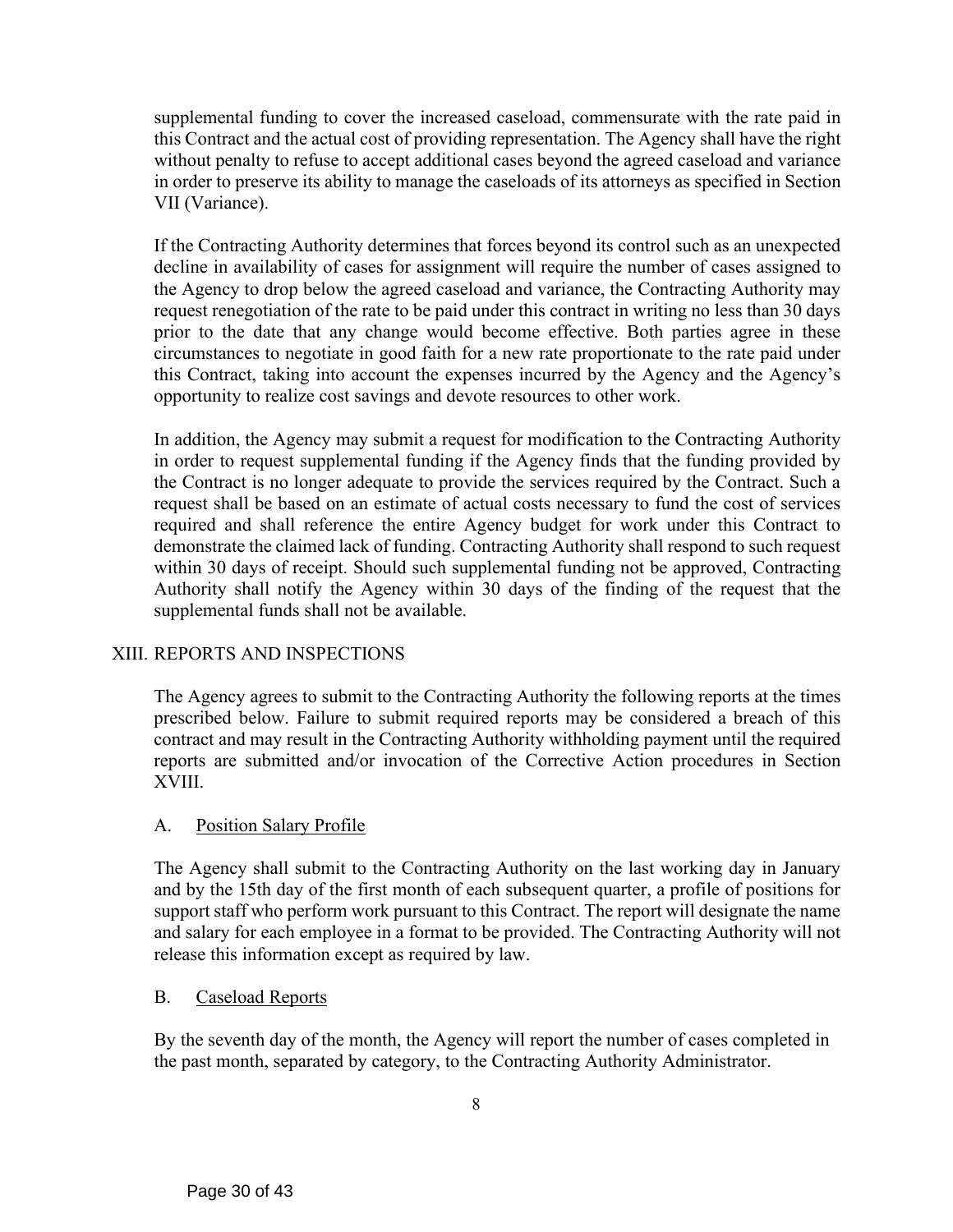supplemental funding to cover the increased caseload, commensurate with the rate paid in this Contract and the actual cost of providing representation. The Agency shall have the right without penalty to refuse to accept additional cases beyond the agreed caseload and variance in order to preserve its ability to manage the caseloads of its attorneys as specified in Section VII (Variance).

If the Contracting Authority determines that forces beyond its control such as an unexpected decline in availability of cases for assignment will require the number of cases assigned to the Agency to drop below the agreed caseload and variance, the Contracting Authority may request renegotiation of the rate to be paid under this contract in writing no less than 30 days prior to the date that any change would become effective. Both parties agree in these circumstances to negotiate in good faith for a new rate proportionate to the rate paid under this Contract, taking into account the expenses incurred by the Agency and the Agency's opportunity to realize cost savings and devote resources to other work.

In addition, the Agency may submit a request for modification to the Contracting Authority in order to request supplemental funding if the Agency finds that the funding provided by the Contract is no longer adequate to provide the services required by the Contract. Such a request shall be based on an estimate of actual costs necessary to fund the cost of services required and shall reference the entire Agency budget for work under this Contract to demonstrate the claimed lack of funding. Contracting Authority shall respond to such request within 30 days of receipt. Should such supplemental funding not be approved, Contracting Authority shall notify the Agency within 30 days of the finding of the request that the supplemental funds shall not be available.

# XIII. REPORTS AND INSPECTIONS

The Agency agrees to submit to the Contracting Authority the following reports at the times prescribed below. Failure to submit required reports may be considered a breach of this contract and may result in the Contracting Authority withholding payment until the required reports are submitted and/or invocation of the Corrective Action procedures in Section XVIII.

# A. Position Salary Profile

The Agency shall submit to the Contracting Authority on the last working day in January and by the 15th day of the first month of each subsequent quarter, a profile of positions for support staff who perform work pursuant to this Contract. The report will designate the name and salary for each employee in a format to be provided. The Contracting Authority will not release this information except as required by law.

# B. Caseload Reports

By the seventh day of the month, the Agency will report the number of cases completed in the past month, separated by category, to the Contracting Authority Administrator.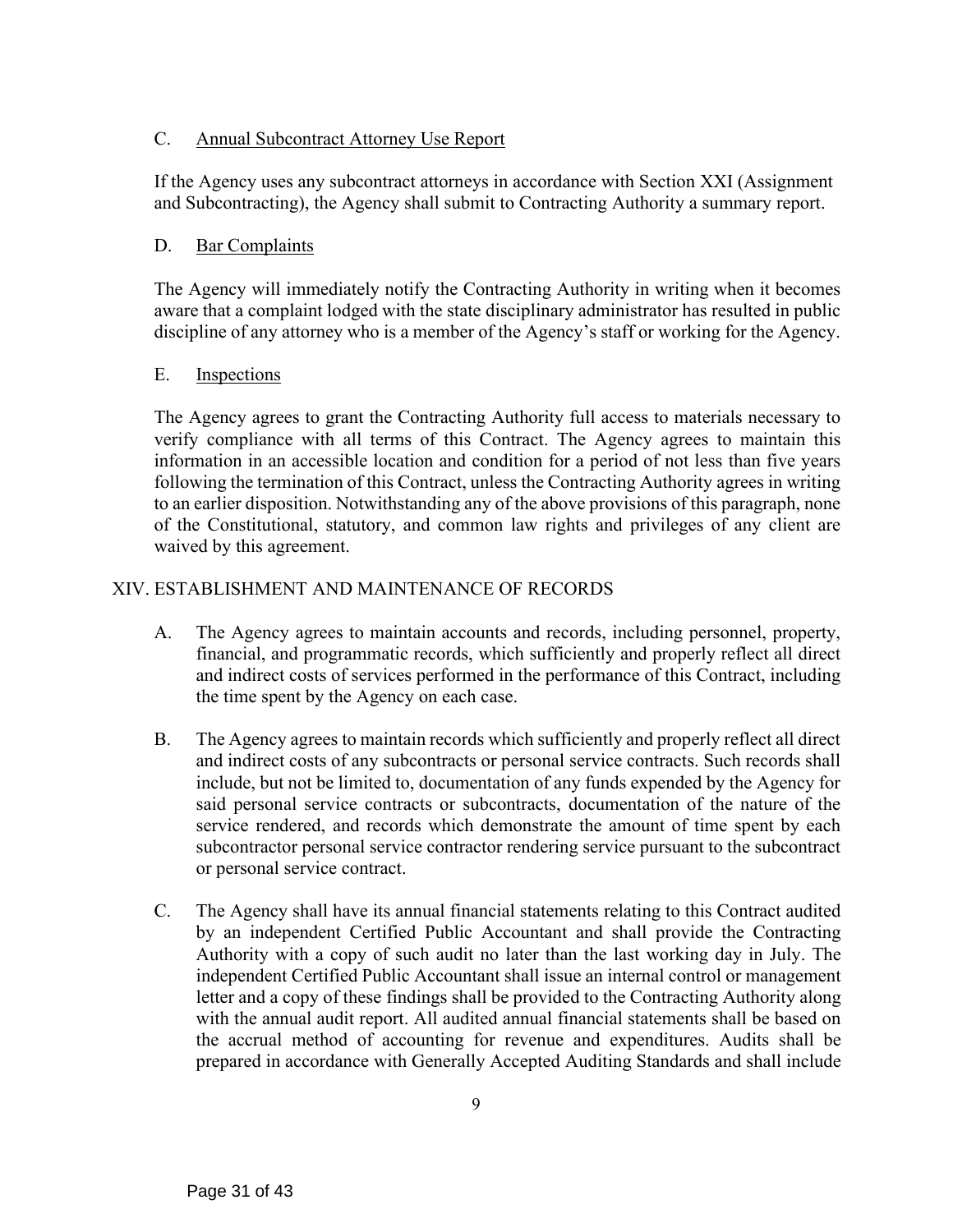# C. Annual Subcontract Attorney Use Report

If the Agency uses any subcontract attorneys in accordance with Section XXI (Assignment and Subcontracting), the Agency shall submit to Contracting Authority a summary report.

# D. Bar Complaints

The Agency will immediately notify the Contracting Authority in writing when it becomes aware that a complaint lodged with the state disciplinary administrator has resulted in public discipline of any attorney who is a member of the Agency's staff or working for the Agency.

# E. Inspections

The Agency agrees to grant the Contracting Authority full access to materials necessary to verify compliance with all terms of this Contract. The Agency agrees to maintain this information in an accessible location and condition for a period of not less than five years following the termination of this Contract, unless the Contracting Authority agrees in writing to an earlier disposition. Notwithstanding any of the above provisions of this paragraph, none of the Constitutional, statutory, and common law rights and privileges of any client are waived by this agreement.

# XIV. ESTABLISHMENT AND MAINTENANCE OF RECORDS

- A. The Agency agrees to maintain accounts and records, including personnel, property, financial, and programmatic records, which sufficiently and properly reflect all direct and indirect costs of services performed in the performance of this Contract, including the time spent by the Agency on each case.
- B. The Agency agrees to maintain records which sufficiently and properly reflect all direct and indirect costs of any subcontracts or personal service contracts. Such records shall include, but not be limited to, documentation of any funds expended by the Agency for said personal service contracts or subcontracts, documentation of the nature of the service rendered, and records which demonstrate the amount of time spent by each subcontractor personal service contractor rendering service pursuant to the subcontract or personal service contract.
- C. The Agency shall have its annual financial statements relating to this Contract audited by an independent Certified Public Accountant and shall provide the Contracting Authority with a copy of such audit no later than the last working day in July. The independent Certified Public Accountant shall issue an internal control or management letter and a copy of these findings shall be provided to the Contracting Authority along with the annual audit report. All audited annual financial statements shall be based on the accrual method of accounting for revenue and expenditures. Audits shall be prepared in accordance with Generally Accepted Auditing Standards and shall include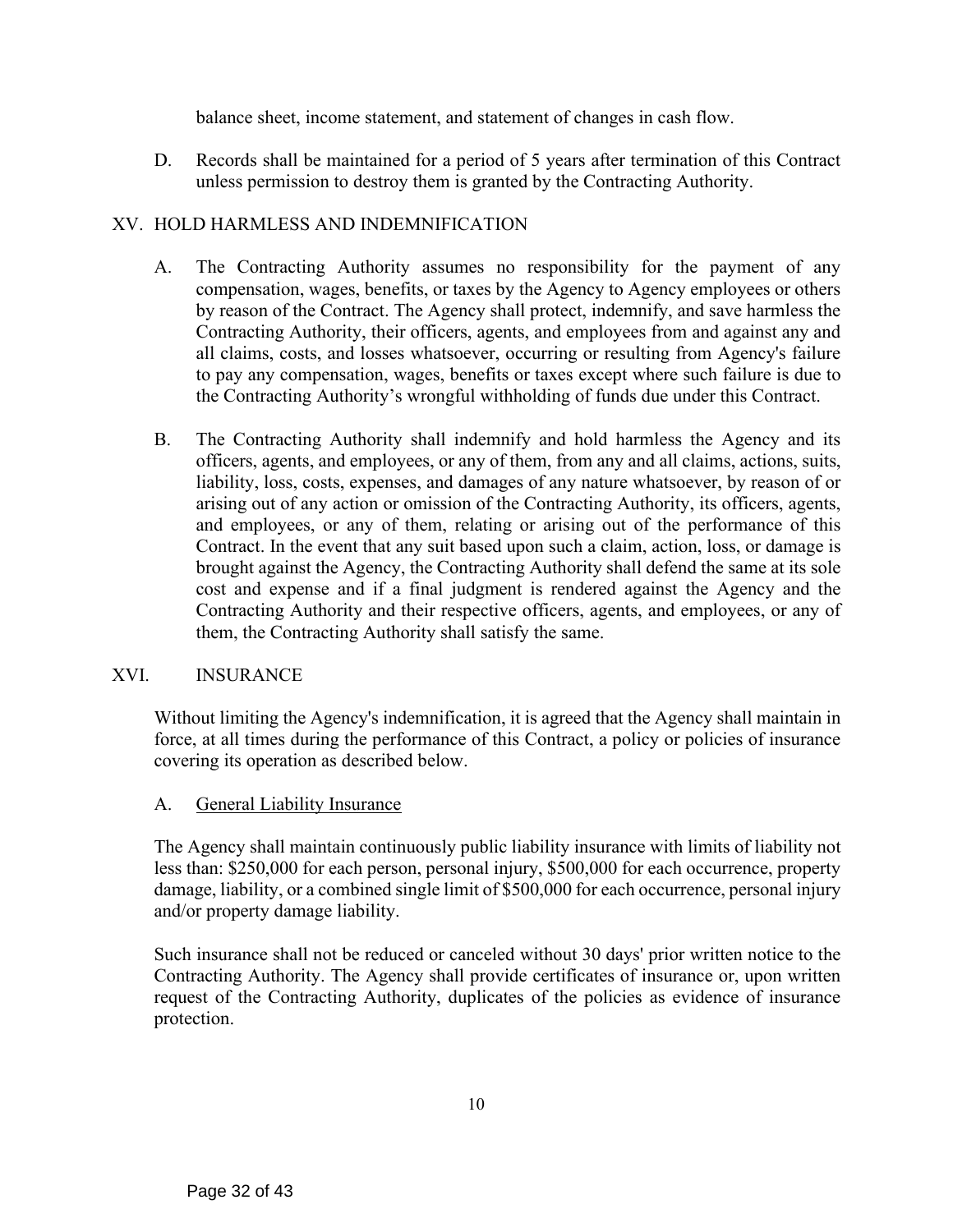balance sheet, income statement, and statement of changes in cash flow.

D. Records shall be maintained for a period of 5 years after termination of this Contract unless permission to destroy them is granted by the Contracting Authority.

# XV. HOLD HARMLESS AND INDEMNIFICATION

- A. The Contracting Authority assumes no responsibility for the payment of any compensation, wages, benefits, or taxes by the Agency to Agency employees or others by reason of the Contract. The Agency shall protect, indemnify, and save harmless the Contracting Authority, their officers, agents, and employees from and against any and all claims, costs, and losses whatsoever, occurring or resulting from Agency's failure to pay any compensation, wages, benefits or taxes except where such failure is due to the Contracting Authority's wrongful withholding of funds due under this Contract.
- B. The Contracting Authority shall indemnify and hold harmless the Agency and its officers, agents, and employees, or any of them, from any and all claims, actions, suits, liability, loss, costs, expenses, and damages of any nature whatsoever, by reason of or arising out of any action or omission of the Contracting Authority, its officers, agents, and employees, or any of them, relating or arising out of the performance of this Contract. In the event that any suit based upon such a claim, action, loss, or damage is brought against the Agency, the Contracting Authority shall defend the same at its sole cost and expense and if a final judgment is rendered against the Agency and the Contracting Authority and their respective officers, agents, and employees, or any of them, the Contracting Authority shall satisfy the same.

# XVI. INSURANCE

Without limiting the Agency's indemnification, it is agreed that the Agency shall maintain in force, at all times during the performance of this Contract, a policy or policies of insurance covering its operation as described below.

# A. General Liability Insurance

The Agency shall maintain continuously public liability insurance with limits of liability not less than: \$250,000 for each person, personal injury, \$500,000 for each occurrence, property damage, liability, or a combined single limit of \$500,000 for each occurrence, personal injury and/or property damage liability.

Such insurance shall not be reduced or canceled without 30 days' prior written notice to the Contracting Authority. The Agency shall provide certificates of insurance or, upon written request of the Contracting Authority, duplicates of the policies as evidence of insurance protection.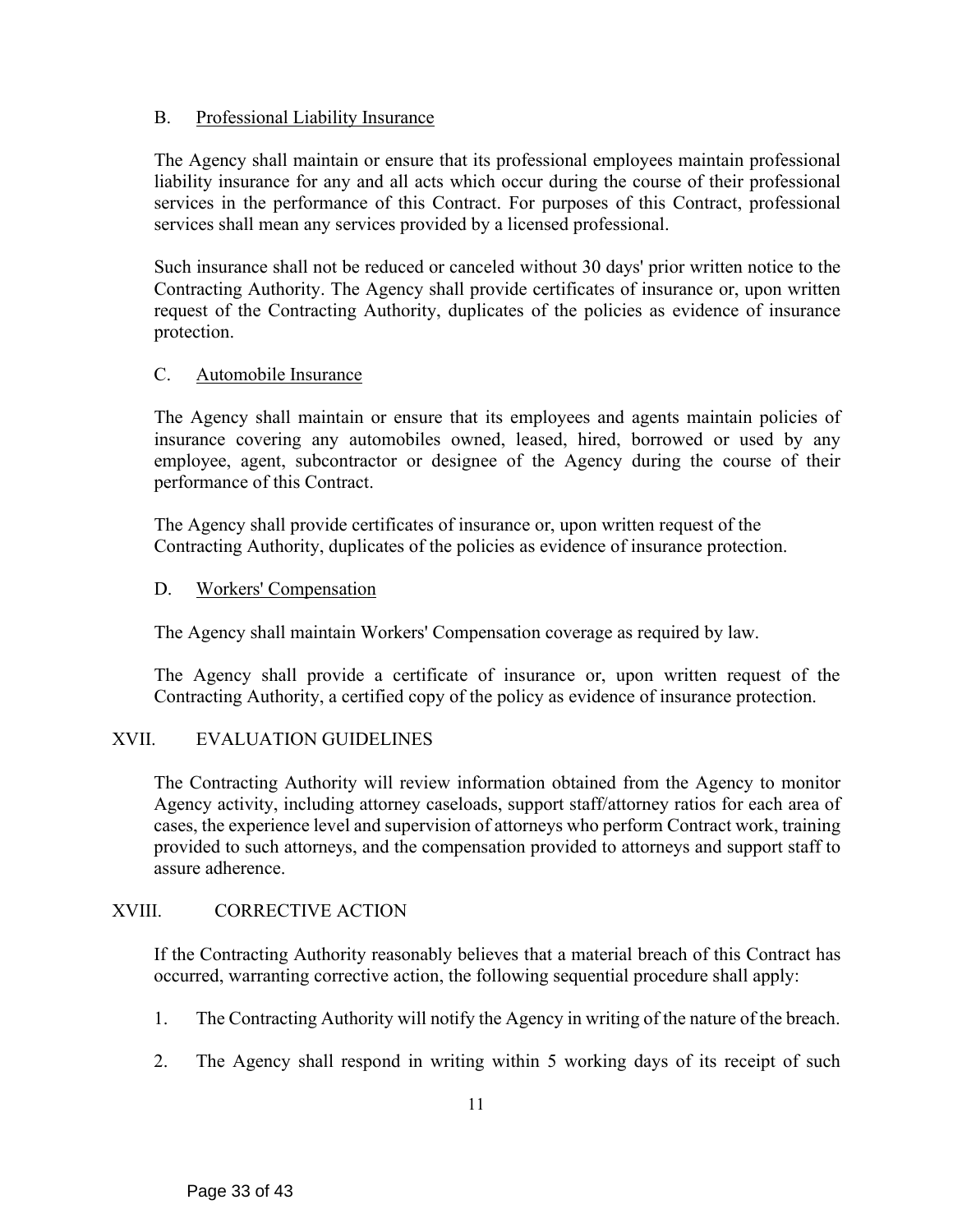# B. Professional Liability Insurance

The Agency shall maintain or ensure that its professional employees maintain professional liability insurance for any and all acts which occur during the course of their professional services in the performance of this Contract. For purposes of this Contract, professional services shall mean any services provided by a licensed professional.

Such insurance shall not be reduced or canceled without 30 days' prior written notice to the Contracting Authority. The Agency shall provide certificates of insurance or, upon written request of the Contracting Authority, duplicates of the policies as evidence of insurance protection.

# C. Automobile Insurance

The Agency shall maintain or ensure that its employees and agents maintain policies of insurance covering any automobiles owned, leased, hired, borrowed or used by any employee, agent, subcontractor or designee of the Agency during the course of their performance of this Contract.

The Agency shall provide certificates of insurance or, upon written request of the Contracting Authority, duplicates of the policies as evidence of insurance protection.

# D. Workers' Compensation

The Agency shall maintain Workers' Compensation coverage as required by law.

The Agency shall provide a certificate of insurance or, upon written request of the Contracting Authority, a certified copy of the policy as evidence of insurance protection.

# XVII. EVALUATION GUIDELINES

The Contracting Authority will review information obtained from the Agency to monitor Agency activity, including attorney caseloads, support staff/attorney ratios for each area of cases, the experience level and supervision of attorneys who perform Contract work, training provided to such attorneys, and the compensation provided to attorneys and support staff to assure adherence.

# XVIII. CORRECTIVE ACTION

If the Contracting Authority reasonably believes that a material breach of this Contract has occurred, warranting corrective action, the following sequential procedure shall apply:

- 1. The Contracting Authority will notify the Agency in writing of the nature of the breach.
- 2. The Agency shall respond in writing within 5 working days of its receipt of such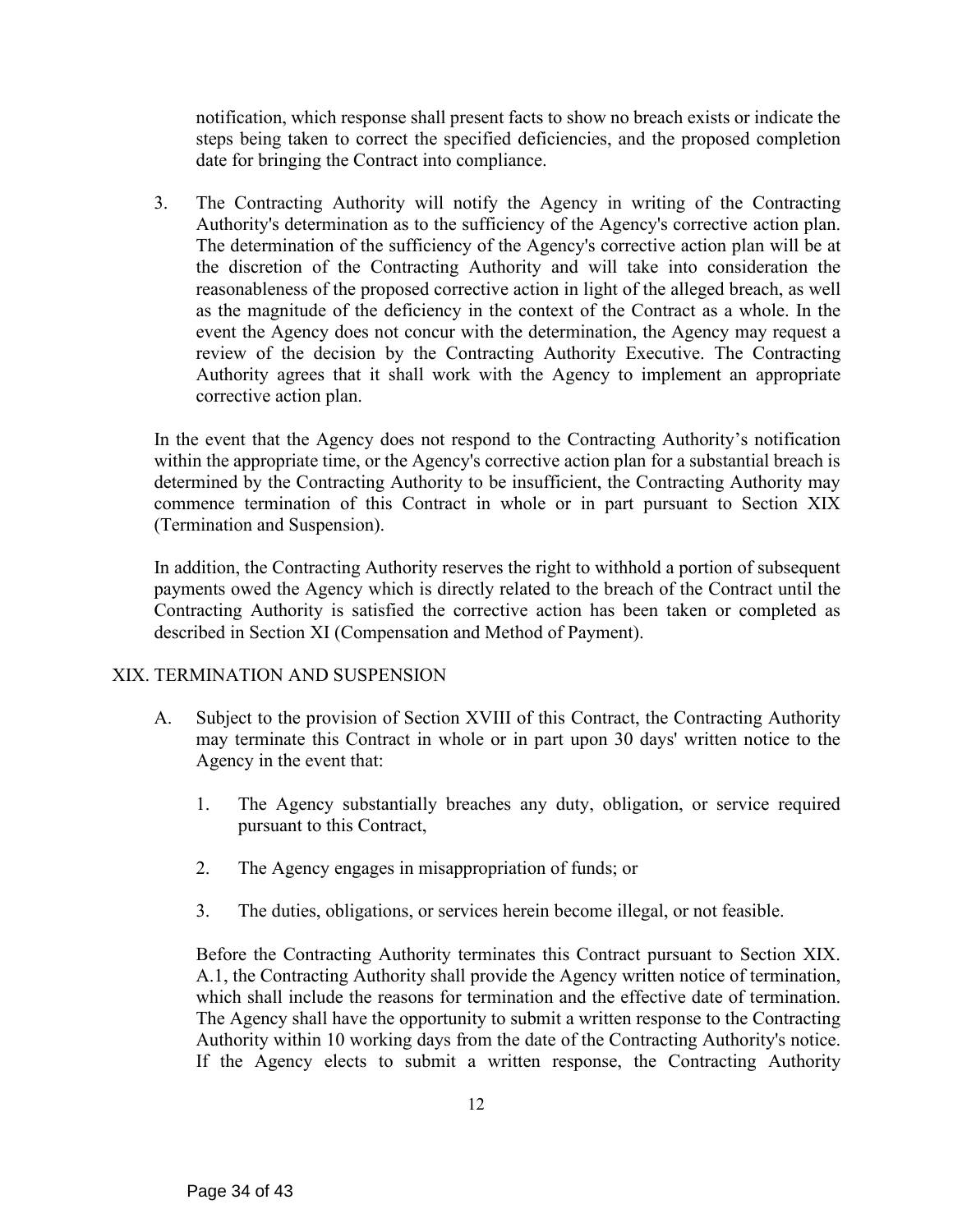notification, which response shall present facts to show no breach exists or indicate the steps being taken to correct the specified deficiencies, and the proposed completion date for bringing the Contract into compliance.

3. The Contracting Authority will notify the Agency in writing of the Contracting Authority's determination as to the sufficiency of the Agency's corrective action plan. The determination of the sufficiency of the Agency's corrective action plan will be at the discretion of the Contracting Authority and will take into consideration the reasonableness of the proposed corrective action in light of the alleged breach, as well as the magnitude of the deficiency in the context of the Contract as a whole. In the event the Agency does not concur with the determination, the Agency may request a review of the decision by the Contracting Authority Executive. The Contracting Authority agrees that it shall work with the Agency to implement an appropriate corrective action plan.

In the event that the Agency does not respond to the Contracting Authority's notification within the appropriate time, or the Agency's corrective action plan for a substantial breach is determined by the Contracting Authority to be insufficient, the Contracting Authority may commence termination of this Contract in whole or in part pursuant to Section XIX (Termination and Suspension).

In addition, the Contracting Authority reserves the right to withhold a portion of subsequent payments owed the Agency which is directly related to the breach of the Contract until the Contracting Authority is satisfied the corrective action has been taken or completed as described in Section XI (Compensation and Method of Payment).

# XIX. TERMINATION AND SUSPENSION

- A. Subject to the provision of Section XVIII of this Contract, the Contracting Authority may terminate this Contract in whole or in part upon 30 days' written notice to the Agency in the event that:
	- 1. The Agency substantially breaches any duty, obligation, or service required pursuant to this Contract,
	- 2. The Agency engages in misappropriation of funds; or
	- 3. The duties, obligations, or services herein become illegal, or not feasible.

Before the Contracting Authority terminates this Contract pursuant to Section XIX. A.1, the Contracting Authority shall provide the Agency written notice of termination, which shall include the reasons for termination and the effective date of termination. The Agency shall have the opportunity to submit a written response to the Contracting Authority within 10 working days from the date of the Contracting Authority's notice. If the Agency elects to submit a written response, the Contracting Authority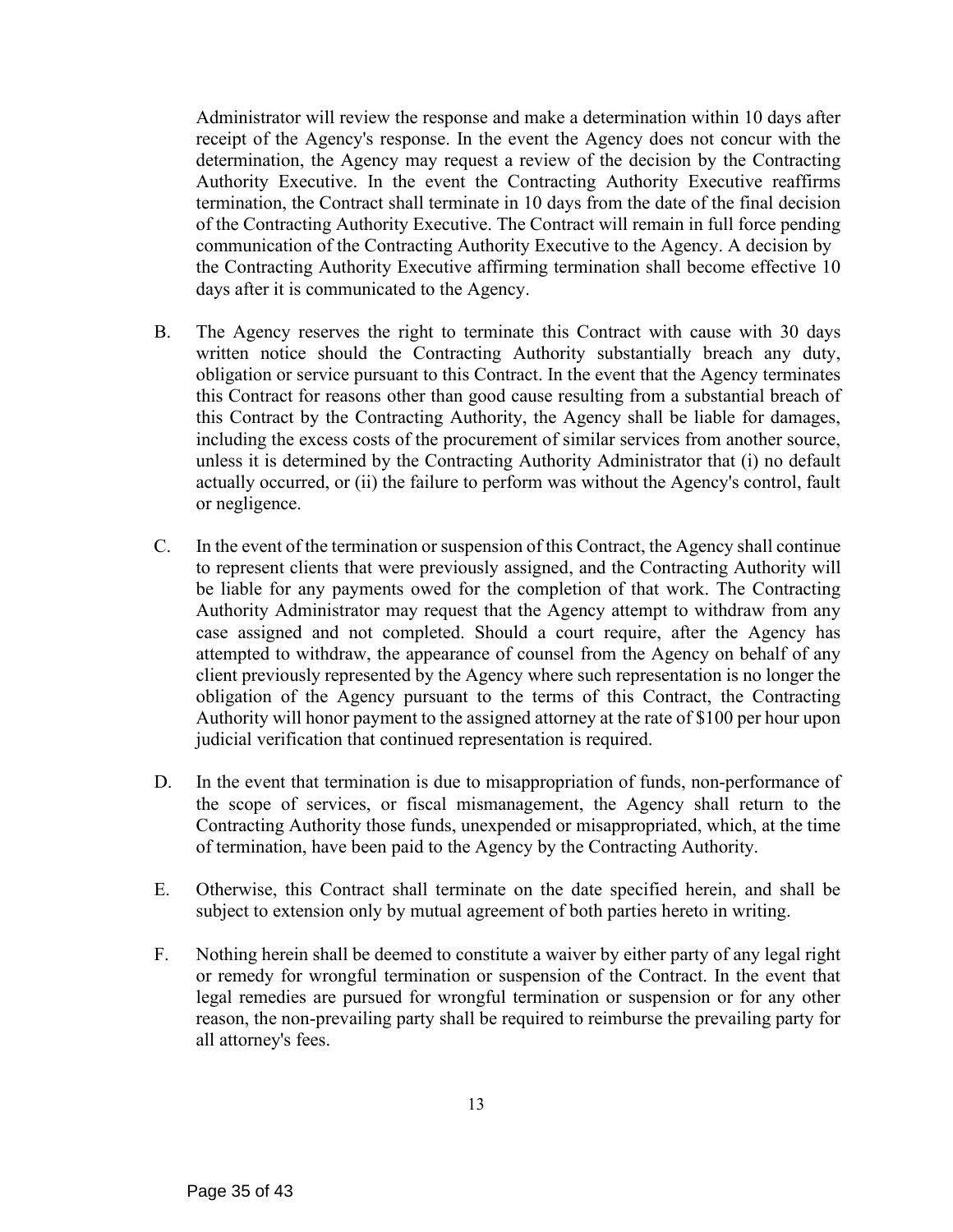Administrator will review the response and make a determination within 10 days after receipt of the Agency's response. In the event the Agency does not concur with the determination, the Agency may request a review of the decision by the Contracting Authority Executive. In the event the Contracting Authority Executive reaffirms termination, the Contract shall terminate in 10 days from the date of the final decision of the Contracting Authority Executive. The Contract will remain in full force pending communication of the Contracting Authority Executive to the Agency. A decision by the Contracting Authority Executive affirming termination shall become effective 10 days after it is communicated to the Agency.

- B. The Agency reserves the right to terminate this Contract with cause with 30 days written notice should the Contracting Authority substantially breach any duty, obligation or service pursuant to this Contract. In the event that the Agency terminates this Contract for reasons other than good cause resulting from a substantial breach of this Contract by the Contracting Authority, the Agency shall be liable for damages, including the excess costs of the procurement of similar services from another source, unless it is determined by the Contracting Authority Administrator that (i) no default actually occurred, or (ii) the failure to perform was without the Agency's control, fault or negligence.
- C. In the event of the termination or suspension of this Contract, the Agency shall continue to represent clients that were previously assigned, and the Contracting Authority will be liable for any payments owed for the completion of that work. The Contracting Authority Administrator may request that the Agency attempt to withdraw from any case assigned and not completed. Should a court require, after the Agency has attempted to withdraw, the appearance of counsel from the Agency on behalf of any client previously represented by the Agency where such representation is no longer the obligation of the Agency pursuant to the terms of this Contract, the Contracting Authority will honor payment to the assigned attorney at the rate of \$100 per hour upon judicial verification that continued representation is required.
- D. In the event that termination is due to misappropriation of funds, non-performance of the scope of services, or fiscal mismanagement, the Agency shall return to the Contracting Authority those funds, unexpended or misappropriated, which, at the time of termination, have been paid to the Agency by the Contracting Authority.
- E. Otherwise, this Contract shall terminate on the date specified herein, and shall be subject to extension only by mutual agreement of both parties hereto in writing.
- F. Nothing herein shall be deemed to constitute a waiver by either party of any legal right or remedy for wrongful termination or suspension of the Contract. In the event that legal remedies are pursued for wrongful termination or suspension or for any other reason, the non-prevailing party shall be required to reimburse the prevailing party for all attorney's fees.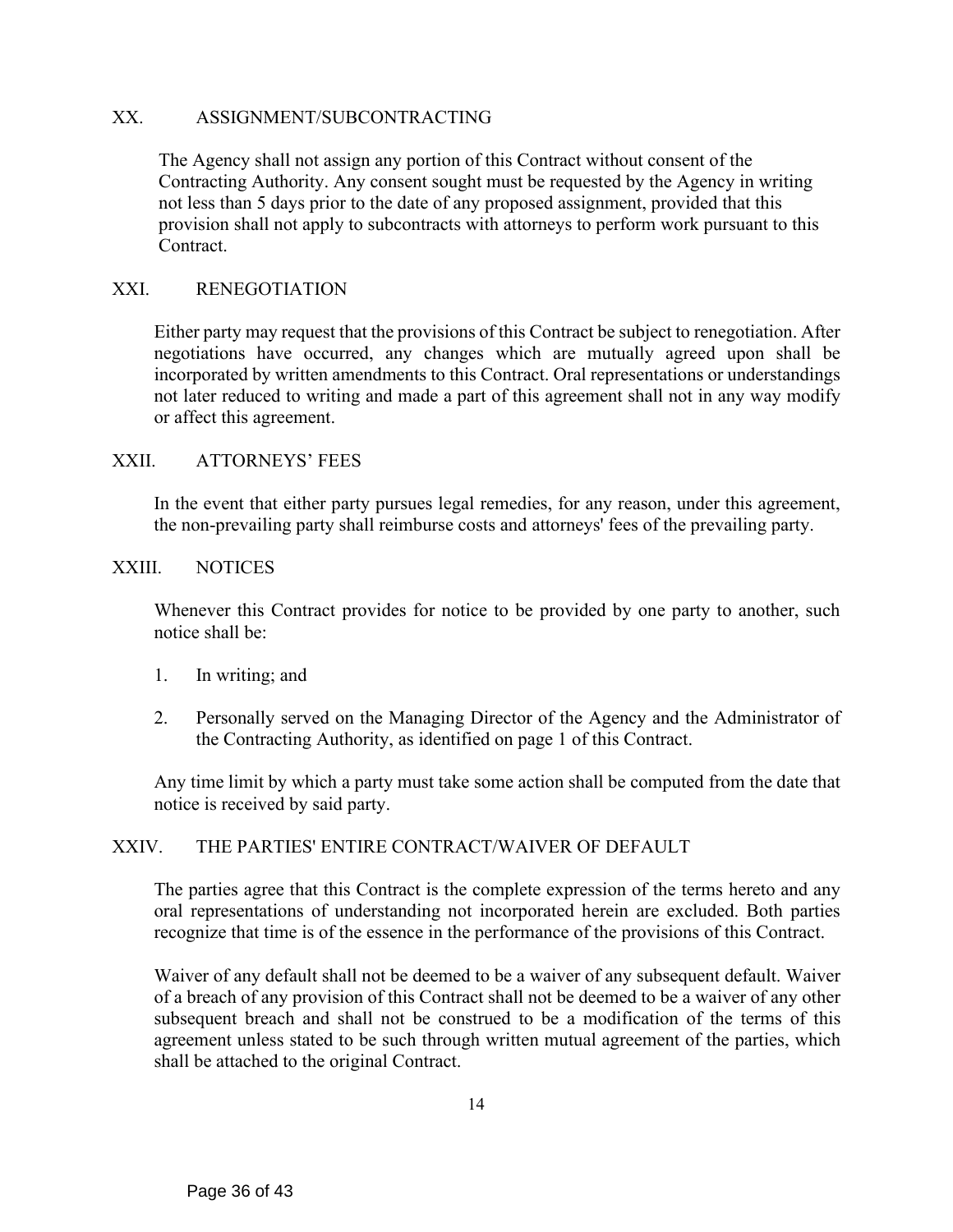#### XX. ASSIGNMENT/SUBCONTRACTING

The Agency shall not assign any portion of this Contract without consent of the Contracting Authority. Any consent sought must be requested by the Agency in writing not less than 5 days prior to the date of any proposed assignment, provided that this provision shall not apply to subcontracts with attorneys to perform work pursuant to this Contract.

#### XXI. RENEGOTIATION

Either party may request that the provisions of this Contract be subject to renegotiation. After negotiations have occurred, any changes which are mutually agreed upon shall be incorporated by written amendments to this Contract. Oral representations or understandings not later reduced to writing and made a part of this agreement shall not in any way modify or affect this agreement.

#### XXII. ATTORNEYS' FEES

In the event that either party pursues legal remedies, for any reason, under this agreement, the non-prevailing party shall reimburse costs and attorneys' fees of the prevailing party.

#### XXIII. NOTICES

Whenever this Contract provides for notice to be provided by one party to another, such notice shall be:

- 1. In writing; and
- 2. Personally served on the Managing Director of the Agency and the Administrator of the Contracting Authority, as identified on page 1 of this Contract.

Any time limit by which a party must take some action shall be computed from the date that notice is received by said party.

# XXIV. THE PARTIES' ENTIRE CONTRACT/WAIVER OF DEFAULT

The parties agree that this Contract is the complete expression of the terms hereto and any oral representations of understanding not incorporated herein are excluded. Both parties recognize that time is of the essence in the performance of the provisions of this Contract.

Waiver of any default shall not be deemed to be a waiver of any subsequent default. Waiver of a breach of any provision of this Contract shall not be deemed to be a waiver of any other subsequent breach and shall not be construed to be a modification of the terms of this agreement unless stated to be such through written mutual agreement of the parties, which shall be attached to the original Contract.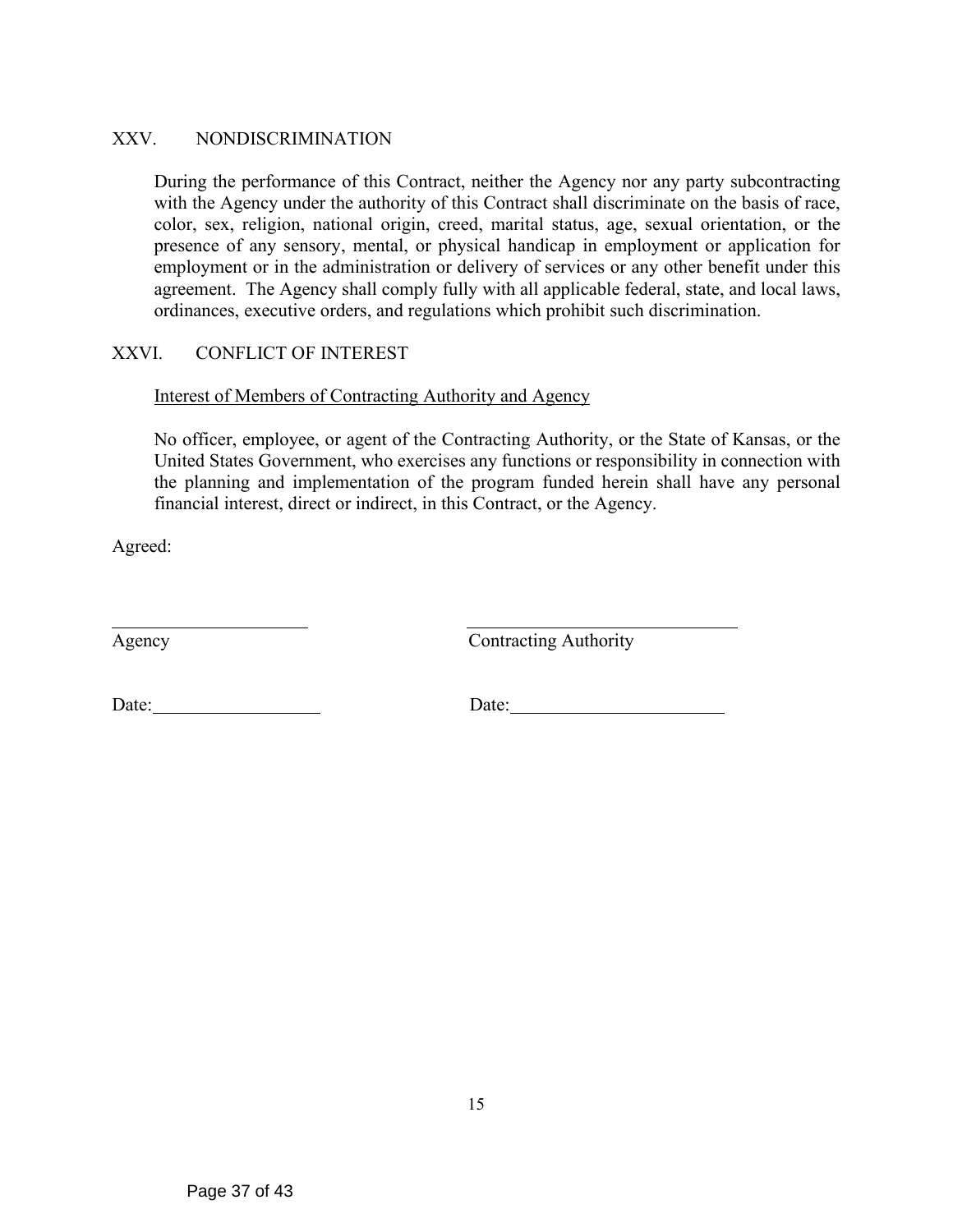# XXV. NONDISCRIMINATION

During the performance of this Contract, neither the Agency nor any party subcontracting with the Agency under the authority of this Contract shall discriminate on the basis of race, color, sex, religion, national origin, creed, marital status, age, sexual orientation, or the presence of any sensory, mental, or physical handicap in employment or application for employment or in the administration or delivery of services or any other benefit under this agreement. The Agency shall comply fully with all applicable federal, state, and local laws, ordinances, executive orders, and regulations which prohibit such discrimination.

# XXVI. CONFLICT OF INTEREST

# Interest of Members of Contracting Authority and Agency

No officer, employee, or agent of the Contracting Authority, or the State of Kansas, or the United States Government, who exercises any functions or responsibility in connection with the planning and implementation of the program funded herein shall have any personal financial interest, direct or indirect, in this Contract, or the Agency.

Agreed:

Agency Contracting Authority

Date: Date: Date: